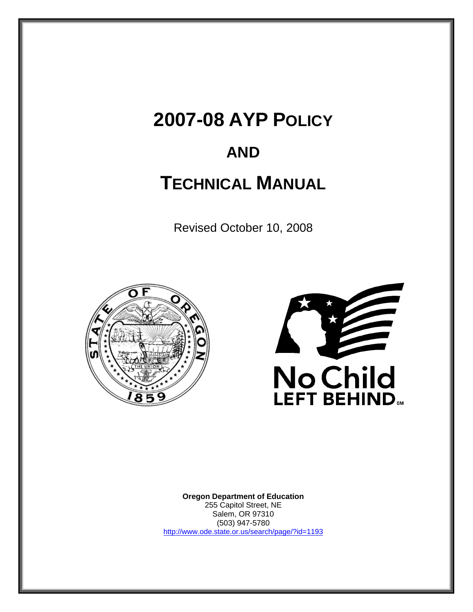# **2007-08 AYP POLICY**

# **AND**

# **TECHNICAL MANUAL**

Revised October 10, 2008





**Oregon Department of Education** 255 Capitol Street, NE Salem, OR 97310 (503) 947-5780 http://www.ode.state.or.us/search/page/?id=1193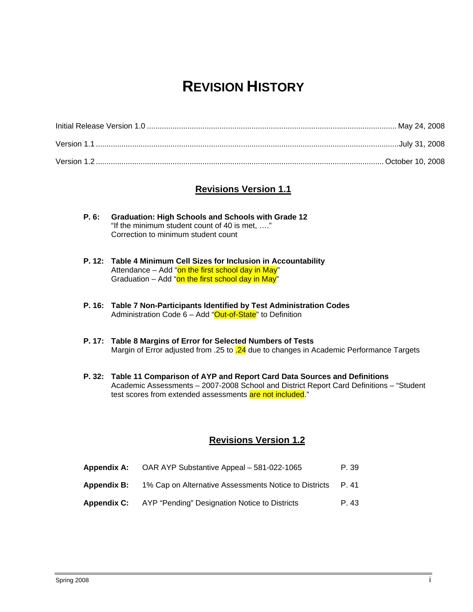# **REVISION HISTORY**

## **Revisions Version 1.1**

- **P. 6: Graduation: High Schools and Schools with Grade 12**  "If the minimum student count of 40 is met, …." Correction to minimum student count
- **P. 12: Table 4 Minimum Cell Sizes for Inclusion in Accountability**  Attendance  $-$  Add "on the first school day in May" Graduation – Add "on the first school day in May"
- **P. 16: Table 7 Non-Participants Identified by Test Administration Codes**  Administration Code 6 - Add "Out-of-State" to Definition
- **P. 17: Table 8 Margins of Error for Selected Numbers of Tests**  Margin of Error adjusted from .25 to  $.24$  due to changes in Academic Performance Targets
- **P. 32: Table 11 Comparison of AYP and Report Card Data Sources and Definitions**  Academic Assessments – 2007-2008 School and District Report Card Definitions – "Student test scores from extended assessments are not included."

#### **Revisions Version 1.2**

| <b>Appendix A:</b> | OAR AYP Substantive Appeal - 581-022-1065             | P. 39 |
|--------------------|-------------------------------------------------------|-------|
| <b>Appendix B:</b> | 1% Cap on Alternative Assessments Notice to Districts | P.41  |
| <b>Appendix C:</b> | AYP "Pending" Designation Notice to Districts         | P. 43 |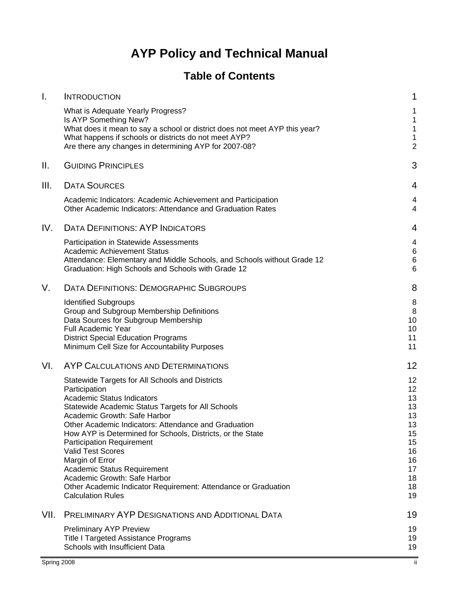# **AYP Policy and Technical Manual**

# **Table of Contents**

| Τ.   | <b>INTRODUCTION</b>                                                                                                                                                                                                                                        | 1                                                                  |
|------|------------------------------------------------------------------------------------------------------------------------------------------------------------------------------------------------------------------------------------------------------------|--------------------------------------------------------------------|
|      | What is Adequate Yearly Progress?<br>Is AYP Something New?<br>What does it mean to say a school or district does not meet AYP this year?<br>What happens if schools or districts do not meet AYP?<br>Are there any changes in determining AYP for 2007-08? | 1<br>$\mathbf{1}$<br>$\mathbf 1$<br>$\mathbf{1}$<br>$\overline{2}$ |
| Ш.   | <b>GUIDING PRINCIPLES</b>                                                                                                                                                                                                                                  | 3                                                                  |
| III. | <b>DATA SOURCES</b>                                                                                                                                                                                                                                        | 4                                                                  |
|      | Academic Indicators: Academic Achievement and Participation<br><b>Other Academic Indicators: Attendance and Graduation Rates</b>                                                                                                                           | 4<br>4                                                             |
| IV.  | <b>DATA DEFINITIONS: AYP INDICATORS</b>                                                                                                                                                                                                                    | 4                                                                  |
|      | Participation in Statewide Assessments                                                                                                                                                                                                                     | 4                                                                  |
|      | Academic Achievement Status<br>Attendance: Elementary and Middle Schools, and Schools without Grade 12                                                                                                                                                     | 6<br>6                                                             |
|      | Graduation: High Schools and Schools with Grade 12                                                                                                                                                                                                         | 6                                                                  |
| V.   | <b>DATA DEFINITIONS: DEMOGRAPHIC SUBGROUPS</b>                                                                                                                                                                                                             | 8                                                                  |
|      | <b>Identified Subgroups</b>                                                                                                                                                                                                                                | 8                                                                  |
|      | Group and Subgroup Membership Definitions                                                                                                                                                                                                                  | 8                                                                  |
|      | Data Sources for Subgroup Membership<br>Full Academic Year                                                                                                                                                                                                 | 10<br>10                                                           |
|      | <b>District Special Education Programs</b>                                                                                                                                                                                                                 | 11                                                                 |
|      | Minimum Cell Size for Accountability Purposes                                                                                                                                                                                                              | 11                                                                 |
| VI.  | AYP CALCULATIONS AND DETERMINATIONS                                                                                                                                                                                                                        | 12                                                                 |
|      | Statewide Targets for All Schools and Districts                                                                                                                                                                                                            | 12                                                                 |
|      | Participation                                                                                                                                                                                                                                              | 12                                                                 |
|      | Academic Status Indicators                                                                                                                                                                                                                                 | 13                                                                 |
|      | Statewide Academic Status Targets for All Schools<br>Academic Growth: Safe Harbor                                                                                                                                                                          | 13<br>13                                                           |
|      | Other Academic Indicators: Attendance and Graduation                                                                                                                                                                                                       | 13                                                                 |
|      | How AYP is Determined for Schools, Districts, or the State                                                                                                                                                                                                 | 15                                                                 |
|      | <b>Participation Requirement</b>                                                                                                                                                                                                                           | 15                                                                 |
|      | <b>Valid Test Scores</b>                                                                                                                                                                                                                                   | 16                                                                 |
|      | Margin of Error                                                                                                                                                                                                                                            | 16<br>17                                                           |
|      | Academic Status Requirement<br>Academic Growth: Safe Harbor                                                                                                                                                                                                | 18                                                                 |
|      | Other Academic Indicator Requirement: Attendance or Graduation                                                                                                                                                                                             | 18                                                                 |
|      | <b>Calculation Rules</b>                                                                                                                                                                                                                                   | 19                                                                 |
| VII. | <b>PRELIMINARY AYP DESIGNATIONS AND ADDITIONAL DATA</b>                                                                                                                                                                                                    | 19                                                                 |
|      | <b>Preliminary AYP Preview</b>                                                                                                                                                                                                                             | 19                                                                 |
|      | Title I Targeted Assistance Programs                                                                                                                                                                                                                       | 19                                                                 |
|      | Schools with Insufficient Data                                                                                                                                                                                                                             | 19                                                                 |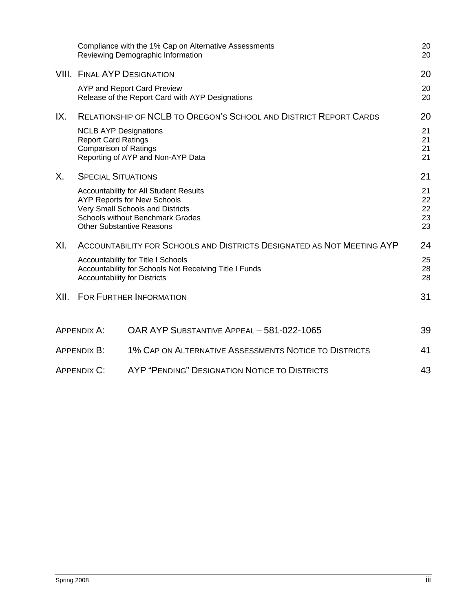|         |                                                                                                                                     | Compliance with the 1% Cap on Alternative Assessments<br>Reviewing Demographic Information                                                                                                      | 20<br>20                   |
|---------|-------------------------------------------------------------------------------------------------------------------------------------|-------------------------------------------------------------------------------------------------------------------------------------------------------------------------------------------------|----------------------------|
|         | <b>VIII. FINAL AYP DESIGNATION</b>                                                                                                  |                                                                                                                                                                                                 | 20                         |
|         |                                                                                                                                     | AYP and Report Card Preview<br>Release of the Report Card with AYP Designations                                                                                                                 | 20<br>20                   |
| IX.     | <b>NCLB AYP Designations</b>                                                                                                        | <b>RELATIONSHIP OF NCLB TO OREGON'S SCHOOL AND DISTRICT REPORT CARDS</b>                                                                                                                        | 20<br>21                   |
|         | <b>Report Card Ratings</b><br><b>Comparison of Ratings</b>                                                                          | Reporting of AYP and Non-AYP Data                                                                                                                                                               | 21<br>21<br>21             |
| $X_{-}$ | <b>SPECIAL SITUATIONS</b>                                                                                                           |                                                                                                                                                                                                 | 21                         |
|         |                                                                                                                                     | Accountability for All Student Results<br><b>AYP Reports for New Schools</b><br>Very Small Schools and Districts<br><b>Schools without Benchmark Grades</b><br><b>Other Substantive Reasons</b> | 21<br>22<br>22<br>23<br>23 |
| XI.     |                                                                                                                                     | ACCOUNTABILITY FOR SCHOOLS AND DISTRICTS DESIGNATED AS NOT MEETING AYP                                                                                                                          | 24                         |
|         | Accountability for Title I Schools<br>Accountability for Schools Not Receiving Title I Funds<br><b>Accountability for Districts</b> |                                                                                                                                                                                                 | 25<br>28<br>28             |
| XII.    |                                                                                                                                     | <b>FOR FURTHER INFORMATION</b>                                                                                                                                                                  | 31                         |
|         | APPENDIX A:                                                                                                                         | OAR AYP SUBSTANTIVE APPEAL - 581-022-1065                                                                                                                                                       | 39                         |
|         | APPENDIX B:                                                                                                                         | 1% CAP ON ALTERNATIVE ASSESSMENTS NOTICE TO DISTRICTS                                                                                                                                           | 41                         |
|         | AYP "PENDING" DESIGNATION NOTICE TO DISTRICTS<br><b>APPENDIX C:</b>                                                                 |                                                                                                                                                                                                 | 43                         |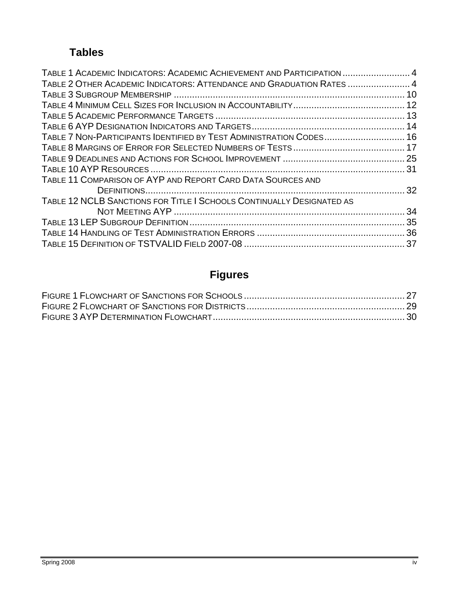# **Tables**

| TABLE 1 ACADEMIC INDICATORS: ACADEMIC ACHIEVEMENT AND PARTICIPATION  4 |  |
|------------------------------------------------------------------------|--|
| TABLE 2 OTHER ACADEMIC INDICATORS: ATTENDANCE AND GRADUATION RATES  4  |  |
|                                                                        |  |
|                                                                        |  |
|                                                                        |  |
|                                                                        |  |
| TABLE 7 NON-PARTICIPANTS IDENTIFIED BY TEST ADMINISTRATION CODES 16    |  |
|                                                                        |  |
|                                                                        |  |
|                                                                        |  |
| TABLE 11 COMPARISON OF AYP AND REPORT CARD DATA SOURCES AND            |  |
|                                                                        |  |
| TABLE 12 NCLB SANCTIONS FOR TITLE I SCHOOLS CONTINUALLY DESIGNATED AS  |  |
|                                                                        |  |
|                                                                        |  |
|                                                                        |  |
|                                                                        |  |

# **Figures**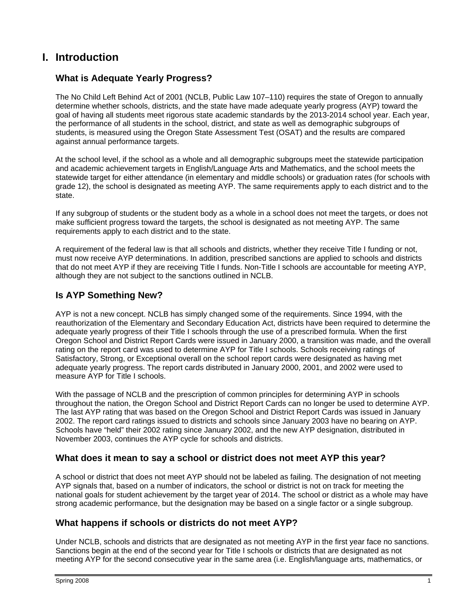# **I. Introduction**

## **What is Adequate Yearly Progress?**

The No Child Left Behind Act of 2001 (NCLB, Public Law 107–110) requires the state of Oregon to annually determine whether schools, districts, and the state have made adequate yearly progress (AYP) toward the goal of having all students meet rigorous state academic standards by the 2013-2014 school year. Each year, the performance of all students in the school, district, and state as well as demographic subgroups of students, is measured using the Oregon State Assessment Test (OSAT) and the results are compared against annual performance targets.

At the school level, if the school as a whole and all demographic subgroups meet the statewide participation and academic achievement targets in English/Language Arts and Mathematics, and the school meets the statewide target for either attendance (in elementary and middle schools) or graduation rates (for schools with grade 12), the school is designated as meeting AYP. The same requirements apply to each district and to the state.

If any subgroup of students or the student body as a whole in a school does not meet the targets, or does not make sufficient progress toward the targets, the school is designated as not meeting AYP. The same requirements apply to each district and to the state.

A requirement of the federal law is that all schools and districts, whether they receive Title I funding or not, must now receive AYP determinations. In addition, prescribed sanctions are applied to schools and districts that do not meet AYP if they are receiving Title I funds. Non-Title I schools are accountable for meeting AYP, although they are not subject to the sanctions outlined in NCLB.

## **Is AYP Something New?**

AYP is not a new concept. NCLB has simply changed some of the requirements. Since 1994, with the reauthorization of the Elementary and Secondary Education Act, districts have been required to determine the adequate yearly progress of their Title I schools through the use of a prescribed formula. When the first Oregon School and District Report Cards were issued in January 2000, a transition was made, and the overall rating on the report card was used to determine AYP for Title I schools. Schools receiving ratings of Satisfactory, Strong, or Exceptional overall on the school report cards were designated as having met adequate yearly progress. The report cards distributed in January 2000, 2001, and 2002 were used to measure AYP for Title I schools.

With the passage of NCLB and the prescription of common principles for determining AYP in schools throughout the nation, the Oregon School and District Report Cards can no longer be used to determine AYP. The last AYP rating that was based on the Oregon School and District Report Cards was issued in January 2002. The report card ratings issued to districts and schools since January 2003 have no bearing on AYP. Schools have "held" their 2002 rating since January 2002, and the new AYP designation, distributed in November 2003, continues the AYP cycle for schools and districts.

## **What does it mean to say a school or district does not meet AYP this year?**

A school or district that does not meet AYP should not be labeled as failing. The designation of not meeting AYP signals that, based on a number of indicators, the school or district is not on track for meeting the national goals for student achievement by the target year of 2014. The school or district as a whole may have strong academic performance, but the designation may be based on a single factor or a single subgroup.

## **What happens if schools or districts do not meet AYP?**

Under NCLB, schools and districts that are designated as not meeting AYP in the first year face no sanctions. Sanctions begin at the end of the second year for Title I schools or districts that are designated as not meeting AYP for the second consecutive year in the same area (i.e. English/language arts, mathematics, or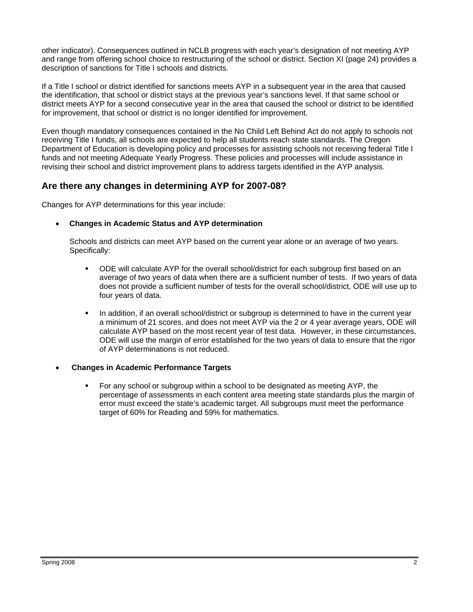other indicator). Consequences outlined in NCLB progress with each year's designation of not meeting AYP and range from offering school choice to restructuring of the school or district. Section XI (page 24) provides a description of sanctions for Title I schools and districts.

If a Title I school or district identified for sanctions meets AYP in a subsequent year in the area that caused the identification, that school or district stays at the previous year's sanctions level. If that same school or district meets AYP for a second consecutive year in the area that caused the school or district to be identified for improvement, that school or district is no longer identified for improvement.

Even though mandatory consequences contained in the No Child Left Behind Act do not apply to schools not receiving Title I funds, all schools are expected to help all students reach state standards. The Oregon Department of Education is developing policy and processes for assisting schools not receiving federal Title I funds and not meeting Adequate Yearly Progress. These policies and processes will include assistance in revising their school and district improvement plans to address targets identified in the AYP analysis.

#### **Are there any changes in determining AYP for 2007-08?**

Changes for AYP determinations for this year include:

#### • **Changes in Academic Status and AYP determination**

Schools and districts can meet AYP based on the current year alone or an average of two years. Specifically:

- ODE will calculate AYP for the overall school/district for each subgroup first based on an average of two years of data when there are a sufficient number of tests. If two years of data does not provide a sufficient number of tests for the overall school/district, ODE will use up to four years of data.
- In addition, if an overall school/district or subgroup is determined to have in the current year a minimum of 21 scores, and does not meet AYP via the 2 or 4 year average years, ODE will calculate AYP based on the most recent year of test data. However, in these circumstances, ODE will use the margin of error established for the two years of data to ensure that the rigor of AYP determinations is not reduced.

#### • **Changes in Academic Performance Targets**

 For any school or subgroup within a school to be designated as meeting AYP, the percentage of assessments in each content area meeting state standards plus the margin of error must exceed the state's academic target. All subgroups must meet the performance target of 60% for Reading and 59% for mathematics.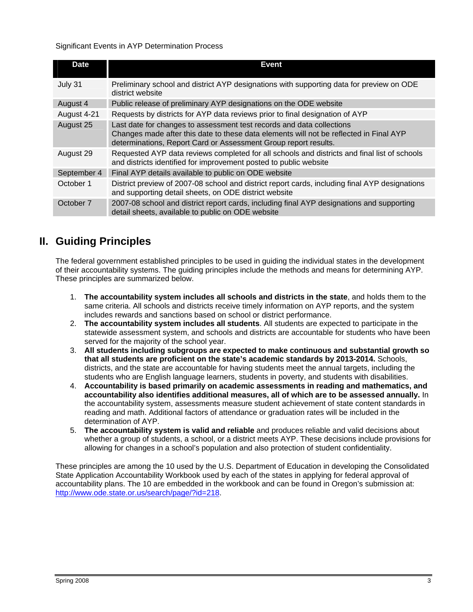#### Significant Events in AYP Determination Process

| <b>Date</b> | Event                                                                                                                                                                                                                              |
|-------------|------------------------------------------------------------------------------------------------------------------------------------------------------------------------------------------------------------------------------------|
| July 31     | Preliminary school and district AYP designations with supporting data for preview on ODE<br>district website                                                                                                                       |
| August 4    | Public release of preliminary AYP designations on the ODE website                                                                                                                                                                  |
| August 4-21 | Requests by districts for AYP data reviews prior to final designation of AYP                                                                                                                                                       |
| August 25   | Last date for changes to assessment test records and data collections<br>Changes made after this date to these data elements will not be reflected in Final AYP<br>determinations, Report Card or Assessment Group report results. |
| August 29   | Requested AYP data reviews completed for all schools and districts and final list of schools<br>and districts identified for improvement posted to public website                                                                  |
| September 4 | Final AYP details available to public on ODE website                                                                                                                                                                               |
| October 1   | District preview of 2007-08 school and district report cards, including final AYP designations<br>and supporting detail sheets, on ODE district website                                                                            |
| October 7   | 2007-08 school and district report cards, including final AYP designations and supporting<br>detail sheets, available to public on ODE website                                                                                     |

# **II. Guiding Principles**

The federal government established principles to be used in guiding the individual states in the development of their accountability systems. The guiding principles include the methods and means for determining AYP. These principles are summarized below.

- 1. **The accountability system includes all schools and districts in the state**, and holds them to the same criteria. All schools and districts receive timely information on AYP reports, and the system includes rewards and sanctions based on school or district performance.
- 2. **The accountability system includes all students**. All students are expected to participate in the statewide assessment system, and schools and districts are accountable for students who have been served for the majority of the school year.
- 3. **All students including subgroups are expected to make continuous and substantial growth so that all students are proficient on the state's academic standards by 2013-2014.** Schools, districts, and the state are accountable for having students meet the annual targets, including the students who are English language learners, students in poverty, and students with disabilities.
- 4. **Accountability is based primarily on academic assessments in reading and mathematics, and accountability also identifies additional measures, all of which are to be assessed annually.** In the accountability system, assessments measure student achievement of state content standards in reading and math. Additional factors of attendance or graduation rates will be included in the determination of AYP.
- 5. **The accountability system is valid and reliable** and produces reliable and valid decisions about whether a group of students, a school, or a district meets AYP. These decisions include provisions for allowing for changes in a school's population and also protection of student confidentiality.

These principles are among the 10 used by the U.S. Department of Education in developing the Consolidated State Application Accountability Workbook used by each of the states in applying for federal approval of accountability plans. The 10 are embedded in the workbook and can be found in Oregon's submission at: http://www.ode.state.or.us/search/page/?id=218.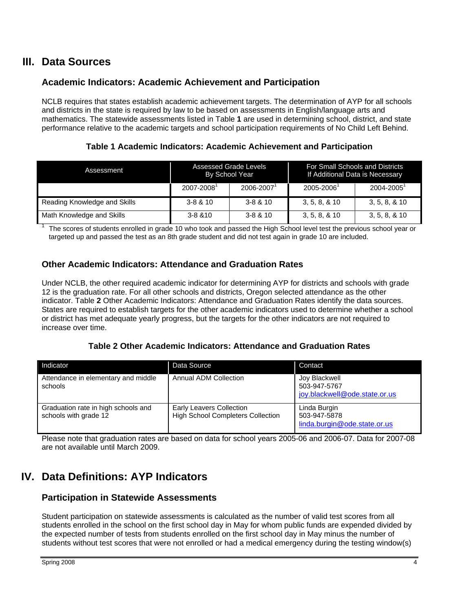# **III. Data Sources**

## **Academic Indicators: Academic Achievement and Participation**

NCLB requires that states establish academic achievement targets. The determination of AYP for all schools and districts in the state is required by law to be based on assessments in English/language arts and mathematics. The statewide assessments listed in Table **1** are used in determining school, district, and state performance relative to the academic targets and school participation requirements of No Child Left Behind.

**Table 1 Academic Indicators: Academic Achievement and Participation** 

| Assessment                   | Assessed Grade Levels<br>By School Year |              | For Small Schools and Districts<br>If Additional Data is Necessary |                |
|------------------------------|-----------------------------------------|--------------|--------------------------------------------------------------------|----------------|
|                              | 2007-2008                               | 2006-2007    | 2005-2006                                                          | $2004 - 2005$  |
| Reading Knowledge and Skills | $3 - 8 & 10$                            | $3 - 8 & 10$ | 3, 5, 8, 8, 10                                                     | 3, 5, 8, 8, 10 |
| Math Knowledge and Skills    | $3 - 8 & 10$                            | $3 - 8 & 10$ | 3, 5, 8, 8, 10                                                     | 3, 5, 8, 8, 10 |

<sup>1</sup> The scores of students enrolled in grade 10 who took and passed the High School level test the previous school year or targeted up and passed the test as an 8th grade student and did not test again in grade 10 are included.

#### **Other Academic Indicators: Attendance and Graduation Rates**

Under NCLB, the other required academic indicator for determining AYP for districts and schools with grade 12 is the graduation rate. For all other schools and districts, Oregon selected attendance as the other indicator. Table **2** Other Academic Indicators: Attendance and Graduation Rates identify the data sources. States are required to establish targets for the other academic indicators used to determine whether a school or district has met adequate yearly progress, but the targets for the other indicators are not required to increase over time.

| Indicator                                                    | Data Source                                                                 | Contact                                                        |
|--------------------------------------------------------------|-----------------------------------------------------------------------------|----------------------------------------------------------------|
| Attendance in elementary and middle<br>schools               | Annual ADM Collection                                                       | Joy Blackwell<br>503-947-5767<br>joy.blackwell@ode.state.or.us |
| Graduation rate in high schools and<br>schools with grade 12 | <b>Early Leavers Collection</b><br><b>High School Completers Collection</b> | Linda Burgin<br>503-947-5878<br>linda.burgin@ode.state.or.us   |

Please note that graduation rates are based on data for school years 2005-06 and 2006-07. Data for 2007-08 are not available until March 2009.

# **IV. Data Definitions: AYP Indicators**

## **Participation in Statewide Assessments**

Student participation on statewide assessments is calculated as the number of valid test scores from all students enrolled in the school on the first school day in May for whom public funds are expended divided by the expected number of tests from students enrolled on the first school day in May minus the number of students without test scores that were not enrolled or had a medical emergency during the testing window(s)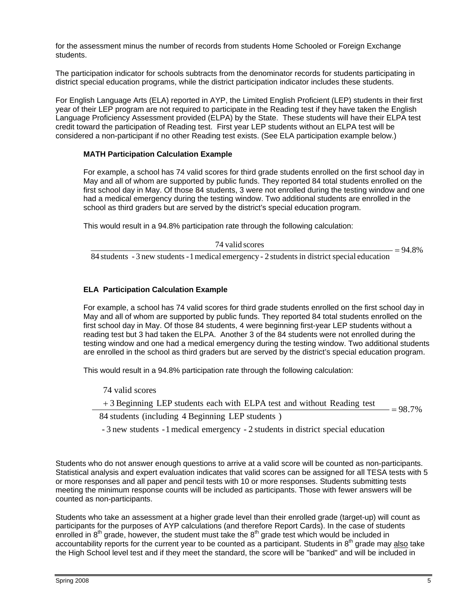for the assessment minus the number of records from students Home Schooled or Foreign Exchange students.

The participation indicator for schools subtracts from the denominator records for students participating in district special education programs, while the district participation indicator includes these students.

For English Language Arts (ELA) reported in AYP, the Limited English Proficient (LEP) students in their first year of their LEP program are not required to participate in the Reading test if they have taken the English Language Proficiency Assessment provided (ELPA) by the State. These students will have their ELPA test credit toward the participation of Reading test. First year LEP students without an ELPA test will be considered a non-participant if no other Reading test exists. (See ELA participation example below.)

#### **MATH Participation Calculation Example**

For example, a school has 74 valid scores for third grade students enrolled on the first school day in May and all of whom are supported by public funds. They reported 84 total students enrolled on the first school day in May. Of those 84 students, 3 were not enrolled during the testing window and one had a medical emergency during the testing window. Two additional students are enrolled in the school as third graders but are served by the district's special education program.

This would result in a 94.8% participation rate through the following calculation:

 $\frac{74 \text{ valid scores}}{24 \text{ rad/s}}$  =

 $= 94.8%$ 

84 students - 3 new students - 1 medical emergency - 2 students in district special education

#### **ELA Participation Calculation Example**

For example, a school has 74 valid scores for third grade students enrolled on the first school day in May and all of whom are supported by public funds. They reported 84 total students enrolled on the first school day in May. Of those 84 students, 4 were beginning first-year LEP students without a reading test but 3 had taken the ELPA. Another 3 of the 84 students were not enrolled during the testing window and one had a medical emergency during the testing window. Two additional students are enrolled in the school as third graders but are served by the district's special education program.

This would result in a 94.8% participation rate through the following calculation:

74 valid scores

 $= 98.7%$  $+3$  Beginning LEP students each with ELPA test and without Reading test  $=$ 

84 students (including 4 Beginning LEP students )

- 3 new students -1medical emergency - 2 students in district special education

Students who do not answer enough questions to arrive at a valid score will be counted as non-participants. Statistical analysis and expert evaluation indicates that valid scores can be assigned for all TESA tests with 5 or more responses and all paper and pencil tests with 10 or more responses. Students submitting tests meeting the minimum response counts will be included as participants. Those with fewer answers will be counted as non-participants.

Students who take an assessment at a higher grade level than their enrolled grade (target-up) will count as participants for the purposes of AYP calculations (and therefore Report Cards). In the case of students enrolled in 8<sup>th</sup> grade, however, the student must take the 8<sup>th</sup> grade test which would be included in accountability reports for the current year to be counted as a participant. Students in 8<sup>th</sup> grade may also take the High School level test and if they meet the standard, the score will be "banked" and will be included in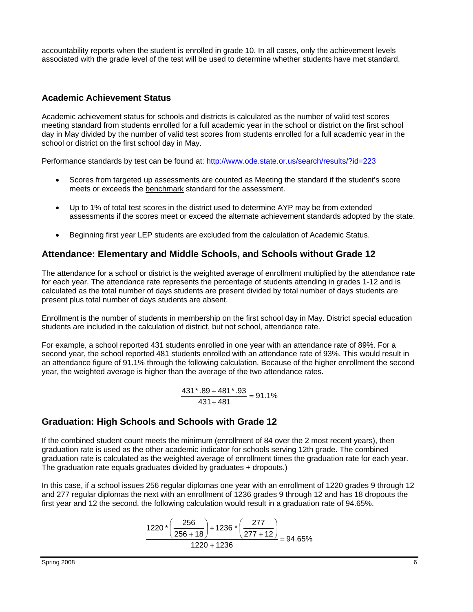accountability reports when the student is enrolled in grade 10. In all cases, only the achievement levels associated with the grade level of the test will be used to determine whether students have met standard.

#### **Academic Achievement Status**

Academic achievement status for schools and districts is calculated as the number of valid test scores meeting standard from students enrolled for a full academic year in the school or district on the first school day in May divided by the number of valid test scores from students enrolled for a full academic year in the school or district on the first school day in May.

Performance standards by test can be found at: http://www.ode.state.or.us/search/results/?id=223

- Scores from targeted up assessments are counted as Meeting the standard if the student's score meets or exceeds the benchmark standard for the assessment.
- Up to 1% of total test scores in the district used to determine AYP may be from extended assessments if the scores meet or exceed the alternate achievement standards adopted by the state.
- Beginning first year LEP students are excluded from the calculation of Academic Status.

## **Attendance: Elementary and Middle Schools, and Schools without Grade 12**

The attendance for a school or district is the weighted average of enrollment multiplied by the attendance rate for each year. The attendance rate represents the percentage of students attending in grades 1-12 and is calculated as the total number of days students are present divided by total number of days students are present plus total number of days students are absent.

Enrollment is the number of students in membership on the first school day in May. District special education students are included in the calculation of district, but not school, attendance rate.

For example, a school reported 431 students enrolled in one year with an attendance rate of 89%. For a second year, the school reported 481 students enrolled with an attendance rate of 93%. This would result in an attendance figure of 91.1% through the following calculation. Because of the higher enrollment the second year, the weighted average is higher than the average of the two attendance rates.

$$
\frac{431 \times .89 + 481 \times .93}{431 + 481} = 91.1\%
$$

## **Graduation: High Schools and Schools with Grade 12**

If the combined student count meets the minimum (enrollment of 84 over the 2 most recent years), then graduation rate is used as the other academic indicator for schools serving 12th grade. The combined graduation rate is calculated as the weighted average of enrollment times the graduation rate for each year. The graduation rate equals graduates divided by graduates + dropouts.)

In this case, if a school issues 256 regular diplomas one year with an enrollment of 1220 grades 9 through 12 and 277 regular diplomas the next with an enrollment of 1236 grades 9 through 12 and has 18 dropouts the first year and 12 the second, the following calculation would result in a graduation rate of 94.65%.

$$
\frac{1220 \times \left(\frac{256}{256+18}\right) + 1236 \times \left(\frac{277}{277+12}\right)}{1220+1236} = 94.65\%
$$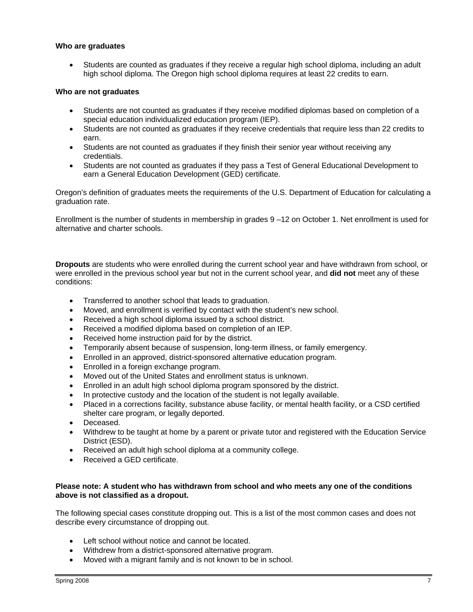#### **Who are graduates**

• Students are counted as graduates if they receive a regular high school diploma, including an adult high school diploma. The Oregon high school diploma requires at least 22 credits to earn.

#### **Who are not graduates**

- Students are not counted as graduates if they receive modified diplomas based on completion of a special education individualized education program (IEP).
- Students are not counted as graduates if they receive credentials that require less than 22 credits to earn.
- Students are not counted as graduates if they finish their senior year without receiving any credentials.
- Students are not counted as graduates if they pass a Test of General Educational Development to earn a General Education Development (GED) certificate.

Oregon's definition of graduates meets the requirements of the U.S. Department of Education for calculating a graduation rate.

Enrollment is the number of students in membership in grades 9 –12 on October 1. Net enrollment is used for alternative and charter schools.

**Dropouts** are students who were enrolled during the current school year and have withdrawn from school, or were enrolled in the previous school year but not in the current school year, and **did not** meet any of these conditions:

- Transferred to another school that leads to graduation.
- Moved, and enrollment is verified by contact with the student's new school.
- Received a high school diploma issued by a school district.
- Received a modified diploma based on completion of an IEP.
- Received home instruction paid for by the district.
- Temporarily absent because of suspension, long-term illness, or family emergency.
- Enrolled in an approved, district-sponsored alternative education program.
- Enrolled in a foreign exchange program.
- Moved out of the United States and enrollment status is unknown.
- Enrolled in an adult high school diploma program sponsored by the district.
- In protective custody and the location of the student is not legally available.
- Placed in a corrections facility, substance abuse facility, or mental health facility, or a CSD certified shelter care program, or legally deported.
- Deceased.
- Withdrew to be taught at home by a parent or private tutor and registered with the Education Service District (ESD).
- Received an adult high school diploma at a community college.
- Received a GED certificate.

#### **Please note: A student who has withdrawn from school and who meets any one of the conditions above is not classified as a dropout.**

The following special cases constitute dropping out. This is a list of the most common cases and does not describe every circumstance of dropping out.

- Left school without notice and cannot be located.
- Withdrew from a district-sponsored alternative program.
- Moved with a migrant family and is not known to be in school.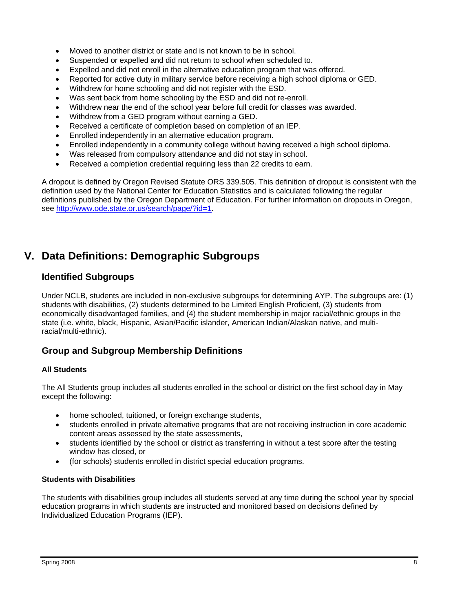- Moved to another district or state and is not known to be in school.
- Suspended or expelled and did not return to school when scheduled to.
- Expelled and did not enroll in the alternative education program that was offered.
- Reported for active duty in military service before receiving a high school diploma or GED.
- Withdrew for home schooling and did not register with the ESD.
- Was sent back from home schooling by the ESD and did not re-enroll.
- Withdrew near the end of the school year before full credit for classes was awarded.
- Withdrew from a GED program without earning a GED.
- Received a certificate of completion based on completion of an IEP.
- Enrolled independently in an alternative education program.
- Enrolled independently in a community college without having received a high school diploma.
- Was released from compulsory attendance and did not stay in school.
- Received a completion credential requiring less than 22 credits to earn.

A dropout is defined by Oregon Revised Statute ORS 339.505. This definition of dropout is consistent with the definition used by the National Center for Education Statistics and is calculated following the regular definitions published by the Oregon Department of Education. For further information on dropouts in Oregon, see http://www.ode.state.or.us/search/page/?id=1.

# **V. Data Definitions: Demographic Subgroups**

## **Identified Subgroups**

Under NCLB, students are included in non-exclusive subgroups for determining AYP. The subgroups are: (1) students with disabilities, (2) students determined to be Limited English Proficient, (3) students from economically disadvantaged families, and (4) the student membership in major racial/ethnic groups in the state (i.e. white, black, Hispanic, Asian/Pacific islander, American Indian/Alaskan native, and multiracial/multi-ethnic).

## **Group and Subgroup Membership Definitions**

#### **All Students**

The All Students group includes all students enrolled in the school or district on the first school day in May except the following:

- home schooled, tuitioned, or foreign exchange students,
- students enrolled in private alternative programs that are not receiving instruction in core academic content areas assessed by the state assessments,
- students identified by the school or district as transferring in without a test score after the testing window has closed, or
- (for schools) students enrolled in district special education programs.

#### **Students with Disabilities**

The students with disabilities group includes all students served at any time during the school year by special education programs in which students are instructed and monitored based on decisions defined by Individualized Education Programs (IEP).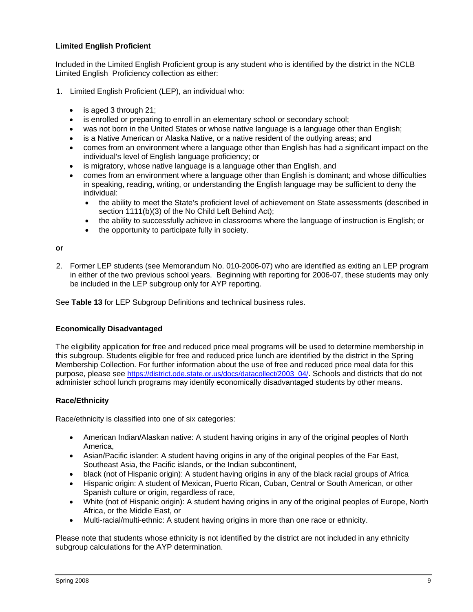#### **Limited English Proficient**

Included in the Limited English Proficient group is any student who is identified by the district in the NCLB Limited English Proficiency collection as either:

- 1. Limited English Proficient (LEP), an individual who:
	- is aged 3 through 21;
	- is enrolled or preparing to enroll in an elementary school or secondary school;
	- was not born in the United States or whose native language is a language other than English:
	- is a Native American or Alaska Native, or a native resident of the outlying areas; and
	- comes from an environment where a language other than English has had a significant impact on the individual's level of English language proficiency; or
	- is migratory, whose native language is a language other than English, and
	- comes from an environment where a language other than English is dominant; and whose difficulties in speaking, reading, writing, or understanding the English language may be sufficient to deny the individual:
		- the ability to meet the State's proficient level of achievement on State assessments (described in section 1111(b)(3) of the No Child Left Behind Act);
		- the ability to successfully achieve in classrooms where the language of instruction is English; or
		- the opportunity to participate fully in society.

#### **or**

2. Former LEP students (see Memorandum No. 010-2006-07) who are identified as exiting an LEP program in either of the two previous school years. Beginning with reporting for 2006-07, these students may only be included in the LEP subgroup only for AYP reporting.

See **Table 13** for LEP Subgroup Definitions and technical business rules.

#### **Economically Disadvantaged**

The eligibility application for free and reduced price meal programs will be used to determine membership in this subgroup. Students eligible for free and reduced price lunch are identified by the district in the Spring Membership Collection. For further information about the use of free and reduced price meal data for this purpose, please see https://district.ode.state.or.us/docs/datacollect/2003\_04/. Schools and districts that do not administer school lunch programs may identify economically disadvantaged students by other means.

#### **Race/Ethnicity**

Race/ethnicity is classified into one of six categories:

- American Indian/Alaskan native: A student having origins in any of the original peoples of North America,
- Asian/Pacific islander: A student having origins in any of the original peoples of the Far East, Southeast Asia, the Pacific islands, or the Indian subcontinent,
- black (not of Hispanic origin): A student having origins in any of the black racial groups of Africa
- Hispanic origin: A student of Mexican, Puerto Rican, Cuban, Central or South American, or other Spanish culture or origin, regardless of race,
- White (not of Hispanic origin): A student having origins in any of the original peoples of Europe, North Africa, or the Middle East, or
- Multi-racial/multi-ethnic: A student having origins in more than one race or ethnicity.

Please note that students whose ethnicity is not identified by the district are not included in any ethnicity subgroup calculations for the AYP determination.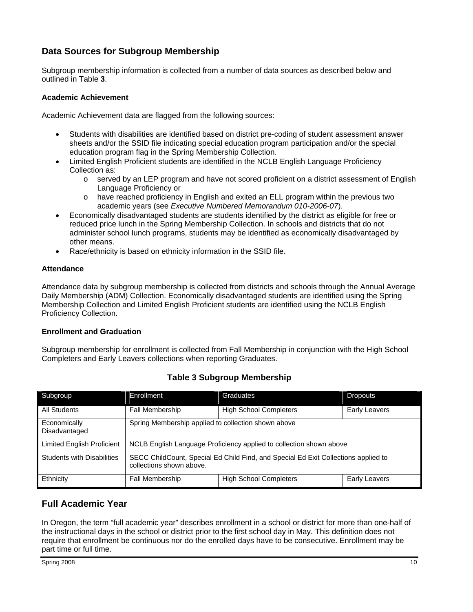## **Data Sources for Subgroup Membership**

Subgroup membership information is collected from a number of data sources as described below and outlined in Table **3**.

#### **Academic Achievement**

Academic Achievement data are flagged from the following sources:

- Students with disabilities are identified based on district pre-coding of student assessment answer sheets and/or the SSID file indicating special education program participation and/or the special education program flag in the Spring Membership Collection.
- Limited English Proficient students are identified in the NCLB English Language Proficiency Collection as:
	- o served by an LEP program and have not scored proficient on a district assessment of English Language Proficiency or
	- o have reached proficiency in English and exited an ELL program within the previous two academic years (see *Executive Numbered Memorandum 010-2006-07*).
- Economically disadvantaged students are students identified by the district as eligible for free or reduced price lunch in the Spring Membership Collection. In schools and districts that do not administer school lunch programs, students may be identified as economically disadvantaged by other means.
- Race/ethnicity is based on ethnicity information in the SSID file.

#### **Attendance**

Attendance data by subgroup membership is collected from districts and schools through the Annual Average Daily Membership (ADM) Collection. Economically disadvantaged students are identified using the Spring Membership Collection and Limited English Proficient students are identified using the NCLB English Proficiency Collection.

#### **Enrollment and Graduation**

Subgroup membership for enrollment is collected from Fall Membership in conjunction with the High School Completers and Early Leavers collections when reporting Graduates.

| Subgroup                          | <b>Enrollment</b>                                                                                              | Graduates                     | <b>Dropouts</b>      |
|-----------------------------------|----------------------------------------------------------------------------------------------------------------|-------------------------------|----------------------|
| All Students                      | Fall Membership                                                                                                | <b>High School Completers</b> | <b>Early Leavers</b> |
| Economically<br>Disadvantaged     | Spring Membership applied to collection shown above                                                            |                               |                      |
| <b>Limited English Proficient</b> | NCLB English Language Proficiency applied to collection shown above                                            |                               |                      |
| <b>Students with Disabilities</b> | SECC ChildCount, Special Ed Child Find, and Special Ed Exit Collections applied to<br>collections shown above. |                               |                      |
| Ethnicity                         | <b>Fall Membership</b>                                                                                         | <b>High School Completers</b> | <b>Early Leavers</b> |

#### **Table 3 Subgroup Membership**

## **Full Academic Year**

In Oregon, the term "full academic year" describes enrollment in a school or district for more than one-half of the instructional days in the school or district prior to the first school day in May. This definition does not require that enrollment be continuous nor do the enrolled days have to be consecutive. Enrollment may be part time or full time.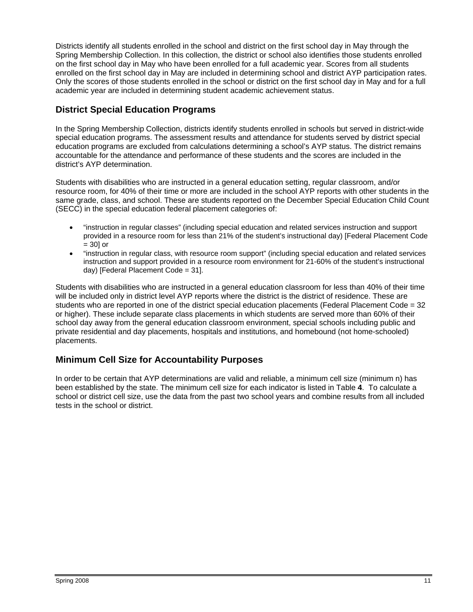Districts identify all students enrolled in the school and district on the first school day in May through the Spring Membership Collection. In this collection, the district or school also identifies those students enrolled on the first school day in May who have been enrolled for a full academic year. Scores from all students enrolled on the first school day in May are included in determining school and district AYP participation rates. Only the scores of those students enrolled in the school or district on the first school day in May and for a full academic year are included in determining student academic achievement status.

## **District Special Education Programs**

In the Spring Membership Collection, districts identify students enrolled in schools but served in district-wide special education programs. The assessment results and attendance for students served by district special education programs are excluded from calculations determining a school's AYP status. The district remains accountable for the attendance and performance of these students and the scores are included in the district's AYP determination.

Students with disabilities who are instructed in a general education setting, regular classroom, and/or resource room, for 40% of their time or more are included in the school AYP reports with other students in the same grade, class, and school. These are students reported on the December Special Education Child Count (SECC) in the special education federal placement categories of:

- "instruction in regular classes" (including special education and related services instruction and support provided in a resource room for less than 21% of the student's instructional day) [Federal Placement Code  $= 30$  or
- "instruction in regular class, with resource room support" (including special education and related services instruction and support provided in a resource room environment for 21-60% of the student's instructional day) [Federal Placement Code = 31].

Students with disabilities who are instructed in a general education classroom for less than 40% of their time will be included only in district level AYP reports where the district is the district of residence. These are students who are reported in one of the district special education placements (Federal Placement Code = 32 or higher). These include separate class placements in which students are served more than 60% of their school day away from the general education classroom environment, special schools including public and private residential and day placements, hospitals and institutions, and homebound (not home-schooled) placements.

## **Minimum Cell Size for Accountability Purposes**

In order to be certain that AYP determinations are valid and reliable, a minimum cell size (minimum n) has been established by the state. The minimum cell size for each indicator is listed in Table **4**. To calculate a school or district cell size, use the data from the past two school years and combine results from all included tests in the school or district.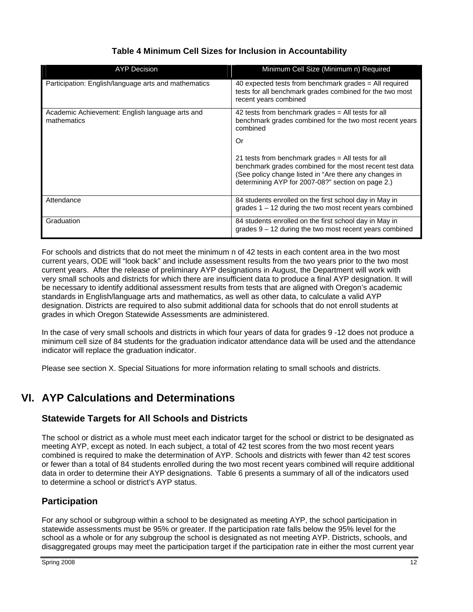| <b>AYP Decision</b>                                            | Minimum Cell Size (Minimum n) Required                                                                                                                                                                                       |
|----------------------------------------------------------------|------------------------------------------------------------------------------------------------------------------------------------------------------------------------------------------------------------------------------|
| Participation: English/language arts and mathematics           | 40 expected tests from benchmark grades $=$ All required<br>tests for all benchmark grades combined for the two most<br>recent years combined                                                                                |
| Academic Achievement: English language arts and<br>mathematics | 42 tests from benchmark grades $=$ All tests for all<br>benchmark grades combined for the two most recent years<br>combined                                                                                                  |
|                                                                | Or                                                                                                                                                                                                                           |
|                                                                | 21 tests from benchmark grades = All tests for all<br>benchmark grades combined for the most recent test data<br>(See policy change listed in "Are there any changes in<br>determining AYP for 2007-08?" section on page 2.) |
| Attendance                                                     | 84 students enrolled on the first school day in May in<br>grades $1 - 12$ during the two most recent years combined                                                                                                          |
| Graduation                                                     | 84 students enrolled on the first school day in May in<br>grades $9 - 12$ during the two most recent years combined                                                                                                          |

## **Table 4 Minimum Cell Sizes for Inclusion in Accountability**

For schools and districts that do not meet the minimum n of 42 tests in each content area in the two most current years, ODE will "look back" and include assessment results from the two years prior to the two most current years. After the release of preliminary AYP designations in August, the Department will work with very small schools and districts for which there are insufficient data to produce a final AYP designation. It will be necessary to identify additional assessment results from tests that are aligned with Oregon's academic standards in English/language arts and mathematics, as well as other data, to calculate a valid AYP designation. Districts are required to also submit additional data for schools that do not enroll students at grades in which Oregon Statewide Assessments are administered.

In the case of very small schools and districts in which four years of data for grades 9 -12 does not produce a minimum cell size of 84 students for the graduation indicator attendance data will be used and the attendance indicator will replace the graduation indicator.

Please see section X. Special Situations for more information relating to small schools and districts.

# **VI. AYP Calculations and Determinations**

## **Statewide Targets for All Schools and Districts**

The school or district as a whole must meet each indicator target for the school or district to be designated as meeting AYP, except as noted. In each subject, a total of 42 test scores from the two most recent years combined is required to make the determination of AYP. Schools and districts with fewer than 42 test scores or fewer than a total of 84 students enrolled during the two most recent years combined will require additional data in order to determine their AYP designations. Table 6 presents a summary of all of the indicators used to determine a school or district's AYP status.

## **Participation**

For any school or subgroup within a school to be designated as meeting AYP, the school participation in statewide assessments must be 95% or greater. If the participation rate falls below the 95% level for the school as a whole or for any subgroup the school is designated as not meeting AYP. Districts, schools, and disaggregated groups may meet the participation target if the participation rate in either the most current year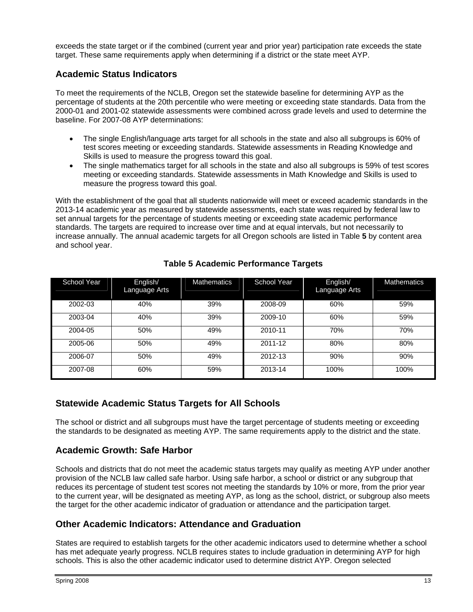exceeds the state target or if the combined (current year and prior year) participation rate exceeds the state target. These same requirements apply when determining if a district or the state meet AYP.

#### **Academic Status Indicators**

To meet the requirements of the NCLB, Oregon set the statewide baseline for determining AYP as the percentage of students at the 20th percentile who were meeting or exceeding state standards. Data from the 2000-01 and 2001-02 statewide assessments were combined across grade levels and used to determine the baseline. For 2007-08 AYP determinations:

- The single English/language arts target for all schools in the state and also all subgroups is 60% of test scores meeting or exceeding standards. Statewide assessments in Reading Knowledge and Skills is used to measure the progress toward this goal.
- The single mathematics target for all schools in the state and also all subgroups is 59% of test scores meeting or exceeding standards. Statewide assessments in Math Knowledge and Skills is used to measure the progress toward this goal.

With the establishment of the goal that all students nationwide will meet or exceed academic standards in the 2013-14 academic year as measured by statewide assessments, each state was required by federal law to set annual targets for the percentage of students meeting or exceeding state academic performance standards. The targets are required to increase over time and at equal intervals, but not necessarily to increase annually. The annual academic targets for all Oregon schools are listed in Table **5** by content area and school year.

| School Year | English/<br>Language Arts | <b>Mathematics</b> | School Year | English/<br>Language Arts | <b>Mathematics</b> |
|-------------|---------------------------|--------------------|-------------|---------------------------|--------------------|
| 2002-03     | 40%                       | 39%                | 2008-09     | 60%                       | 59%                |
| 2003-04     | 40%                       | 39%                | 2009-10     | 60%                       | 59%                |
| 2004-05     | 50%                       | 49%                | 2010-11     | 70%                       | 70%                |
| 2005-06     | 50%                       | 49%                | 2011-12     | 80%                       | 80%                |
| 2006-07     | 50%                       | 49%                | 2012-13     | 90%                       | 90%                |
| 2007-08     | 60%                       | 59%                | 2013-14     | 100%                      | 100%               |

## **Table 5 Academic Performance Targets**

## **Statewide Academic Status Targets for All Schools**

The school or district and all subgroups must have the target percentage of students meeting or exceeding the standards to be designated as meeting AYP. The same requirements apply to the district and the state.

## **Academic Growth: Safe Harbor**

Schools and districts that do not meet the academic status targets may qualify as meeting AYP under another provision of the NCLB law called safe harbor. Using safe harbor, a school or district or any subgroup that reduces its percentage of student test scores not meeting the standards by 10% or more, from the prior year to the current year, will be designated as meeting AYP, as long as the school, district, or subgroup also meets the target for the other academic indicator of graduation or attendance and the participation target.

## **Other Academic Indicators: Attendance and Graduation**

States are required to establish targets for the other academic indicators used to determine whether a school has met adequate yearly progress. NCLB requires states to include graduation in determining AYP for high schools. This is also the other academic indicator used to determine district AYP. Oregon selected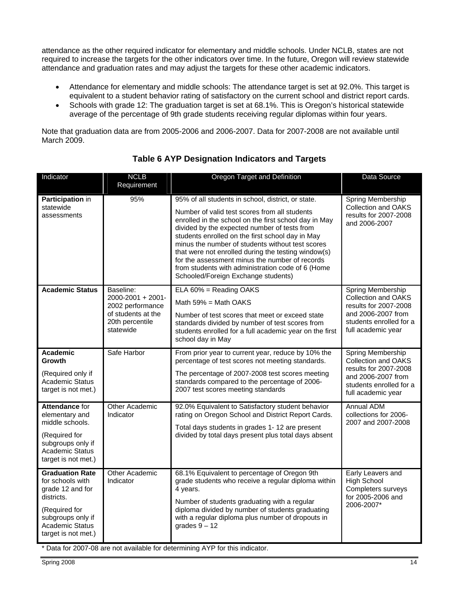attendance as the other required indicator for elementary and middle schools. Under NCLB, states are not required to increase the targets for the other indicators over time. In the future, Oregon will review statewide attendance and graduation rates and may adjust the targets for these other academic indicators.

- Attendance for elementary and middle schools: The attendance target is set at 92.0%. This target is equivalent to a student behavior rating of satisfactory on the current school and district report cards.
- Schools with grade 12: The graduation target is set at 68.1%. This is Oregon's historical statewide average of the percentage of 9th grade students receiving regular diplomas within four years.

Note that graduation data are from 2005-2006 and 2006-2007. Data for 2007-2008 are not available until March 2009.

| Indicator                                                                                                                                                           | <b>NCLB</b><br>Requirement                                                                               | Oregon Target and Definition                                                                                                                                                                                                                                                                                                                                                                                                                                                                                              | Data Source                                                                                                                                     |
|---------------------------------------------------------------------------------------------------------------------------------------------------------------------|----------------------------------------------------------------------------------------------------------|---------------------------------------------------------------------------------------------------------------------------------------------------------------------------------------------------------------------------------------------------------------------------------------------------------------------------------------------------------------------------------------------------------------------------------------------------------------------------------------------------------------------------|-------------------------------------------------------------------------------------------------------------------------------------------------|
| Participation in<br>statewide<br>assessments                                                                                                                        | 95%                                                                                                      | 95% of all students in school, district, or state.<br>Number of valid test scores from all students<br>enrolled in the school on the first school day in May<br>divided by the expected number of tests from<br>students enrolled on the first school day in May<br>minus the number of students without test scores<br>that were not enrolled during the testing window(s)<br>for the assessment minus the number of records<br>from students with administration code of 6 (Home<br>Schooled/Foreign Exchange students) | Spring Membership<br>Collection and OAKS<br>results for 2007-2008<br>and 2006-2007                                                              |
| <b>Academic Status</b>                                                                                                                                              | Baseline:<br>2000-2001 + 2001-<br>2002 performance<br>of students at the<br>20th percentile<br>statewide | ELA 60% = Reading OAKS<br>Math $59\%$ = Math OAKS<br>Number of test scores that meet or exceed state<br>standards divided by number of test scores from<br>students enrolled for a full academic year on the first<br>school day in May                                                                                                                                                                                                                                                                                   | Spring Membership<br><b>Collection and OAKS</b><br>results for 2007-2008<br>and 2006-2007 from<br>students enrolled for a<br>full academic year |
| <b>Academic</b><br>Growth<br>(Required only if<br>Academic Status<br>target is not met.)                                                                            | Safe Harbor                                                                                              | From prior year to current year, reduce by 10% the<br>percentage of test scores not meeting standards.<br>The percentage of 2007-2008 test scores meeting<br>standards compared to the percentage of 2006-<br>2007 test scores meeting standards                                                                                                                                                                                                                                                                          | Spring Membership<br><b>Collection and OAKS</b><br>results for 2007-2008<br>and 2006-2007 from<br>students enrolled for a<br>full academic year |
| <b>Attendance for</b><br>elementary and<br>middle schools.<br>(Required for<br>subgroups only if<br><b>Academic Status</b><br>target is not met.)                   | Other Academic<br>Indicator                                                                              | 92.0% Equivalent to Satisfactory student behavior<br>rating on Oregon School and District Report Cards.<br>Total days students in grades 1-12 are present<br>divided by total days present plus total days absent                                                                                                                                                                                                                                                                                                         | Annual ADM<br>collections for 2006-<br>2007 and 2007-2008                                                                                       |
| <b>Graduation Rate</b><br>for schools with<br>grade 12 and for<br>districts.<br>(Required for<br>subgroups only if<br><b>Academic Status</b><br>target is not met.) | Other Academic<br>Indicator                                                                              | 68.1% Equivalent to percentage of Oregon 9th<br>grade students who receive a regular diploma within<br>4 years.<br>Number of students graduating with a regular<br>diploma divided by number of students graduating<br>with a regular diploma plus number of dropouts in<br>grades $9 - 12$<br>* Data for 2007-08 are not available for determining AYP for this indicator.                                                                                                                                               | Early Leavers and<br><b>High School</b><br>Completers surveys<br>for 2005-2006 and<br>2006-2007*                                                |

## **Table 6 AYP Designation Indicators and Targets**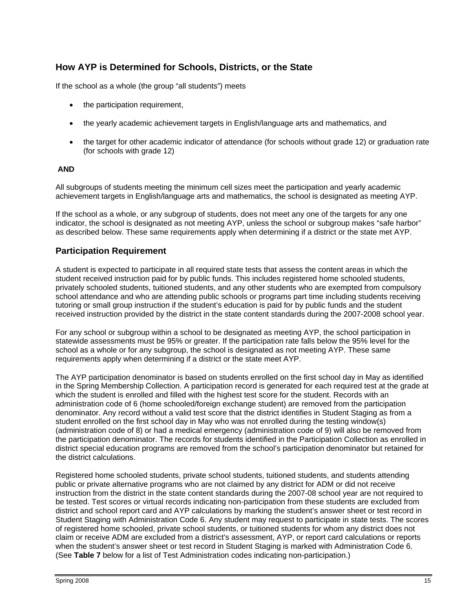## **How AYP is Determined for Schools, Districts, or the State**

If the school as a whole (the group "all students") meets

- the participation requirement,
- the yearly academic achievement targets in English/language arts and mathematics, and
- the target for other academic indicator of attendance (for schools without grade 12) or graduation rate (for schools with grade 12)

#### **AND**

All subgroups of students meeting the minimum cell sizes meet the participation and yearly academic achievement targets in English/language arts and mathematics, the school is designated as meeting AYP.

If the school as a whole, or any subgroup of students, does not meet any one of the targets for any one indicator, the school is designated as not meeting AYP, unless the school or subgroup makes "safe harbor" as described below. These same requirements apply when determining if a district or the state met AYP.

#### **Participation Requirement**

A student is expected to participate in all required state tests that assess the content areas in which the student received instruction paid for by public funds. This includes registered home schooled students, privately schooled students, tuitioned students, and any other students who are exempted from compulsory school attendance and who are attending public schools or programs part time including students receiving tutoring or small group instruction if the student's education is paid for by public funds and the student received instruction provided by the district in the state content standards during the 2007-2008 school year.

For any school or subgroup within a school to be designated as meeting AYP, the school participation in statewide assessments must be 95% or greater. If the participation rate falls below the 95% level for the school as a whole or for any subgroup, the school is designated as not meeting AYP. These same requirements apply when determining if a district or the state meet AYP.

The AYP participation denominator is based on students enrolled on the first school day in May as identified in the Spring Membership Collection. A participation record is generated for each required test at the grade at which the student is enrolled and filled with the highest test score for the student. Records with an administration code of 6 (home schooled/foreign exchange student) are removed from the participation denominator. Any record without a valid test score that the district identifies in Student Staging as from a student enrolled on the first school day in May who was not enrolled during the testing window(s) (administration code of 8) or had a medical emergency (administration code of 9) will also be removed from the participation denominator. The records for students identified in the Participation Collection as enrolled in district special education programs are removed from the school's participation denominator but retained for the district calculations.

Registered home schooled students, private school students, tuitioned students, and students attending public or private alternative programs who are not claimed by any district for ADM or did not receive instruction from the district in the state content standards during the 2007-08 school year are not required to be tested. Test scores or virtual records indicating non-participation from these students are excluded from district and school report card and AYP calculations by marking the student's answer sheet or test record in Student Staging with Administration Code 6. Any student may request to participate in state tests. The scores of registered home schooled, private school students, or tuitioned students for whom any district does not claim or receive ADM are excluded from a district's assessment, AYP, or report card calculations or reports when the student's answer sheet or test record in Student Staging is marked with Administration Code 6. (See **Table 7** below for a list of Test Administration codes indicating non-participation.)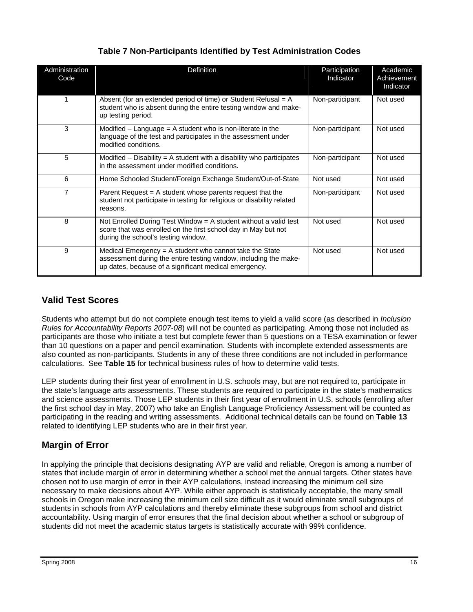| Administration<br>Code | Definition                                                                                                                                                                           | Participation<br>Indicator | Academic<br>Achievement<br>Indicator |
|------------------------|--------------------------------------------------------------------------------------------------------------------------------------------------------------------------------------|----------------------------|--------------------------------------|
|                        | Absent (for an extended period of time) or Student Refusal = A<br>student who is absent during the entire testing window and make-<br>up testing period.                             | Non-participant            | Not used                             |
| 3                      | Modified $-$ Language = A student who is non-literate in the<br>language of the test and participates in the assessment under<br>modified conditions.                                | Non-participant            | Not used                             |
| 5                      | Modified $-$ Disability = A student with a disability who participates<br>in the assessment under modified conditions.                                                               | Non-participant            | Not used                             |
| 6                      | Home Schooled Student/Foreign Exchange Student/Out-of-State                                                                                                                          | Not used                   | Not used                             |
| $\overline{7}$         | Parent Request $= A$ student whose parents request that the<br>student not participate in testing for religious or disability related<br>reasons.                                    | Non-participant            | Not used                             |
| 8                      | Not Enrolled During Test Window = A student without a valid test<br>score that was enrolled on the first school day in May but not<br>during the school's testing window.            | Not used                   | Not used                             |
| 9                      | Medical Emergency = A student who cannot take the State<br>assessment during the entire testing window, including the make-<br>up dates, because of a significant medical emergency. | Not used                   | Not used                             |

## **Table 7 Non-Participants Identified by Test Administration Codes**

## **Valid Test Scores**

Students who attempt but do not complete enough test items to yield a valid score (as described in *Inclusion Rules for Accountability Reports 2007-08*) will not be counted as participating. Among those not included as participants are those who initiate a test but complete fewer than 5 questions on a TESA examination or fewer than 10 questions on a paper and pencil examination. Students with incomplete extended assessments are also counted as non-participants. Students in any of these three conditions are not included in performance calculations. See **Table 15** for technical business rules of how to determine valid tests.

LEP students during their first year of enrollment in U.S. schools may, but are not required to, participate in the state's language arts assessments. These students are required to participate in the state's mathematics and science assessments. Those LEP students in their first year of enrollment in U.S. schools (enrolling after the first school day in May, 2007) who take an English Language Proficiency Assessment will be counted as participating in the reading and writing assessments. Additional technical details can be found on **Table 13** related to identifying LEP students who are in their first year.

## **Margin of Error**

In applying the principle that decisions designating AYP are valid and reliable, Oregon is among a number of states that include margin of error in determining whether a school met the annual targets. Other states have chosen not to use margin of error in their AYP calculations, instead increasing the minimum cell size necessary to make decisions about AYP. While either approach is statistically acceptable, the many small schools in Oregon make increasing the minimum cell size difficult as it would eliminate small subgroups of students in schools from AYP calculations and thereby eliminate these subgroups from school and district accountability. Using margin of error ensures that the final decision about whether a school or subgroup of students did not meet the academic status targets is statistically accurate with 99% confidence.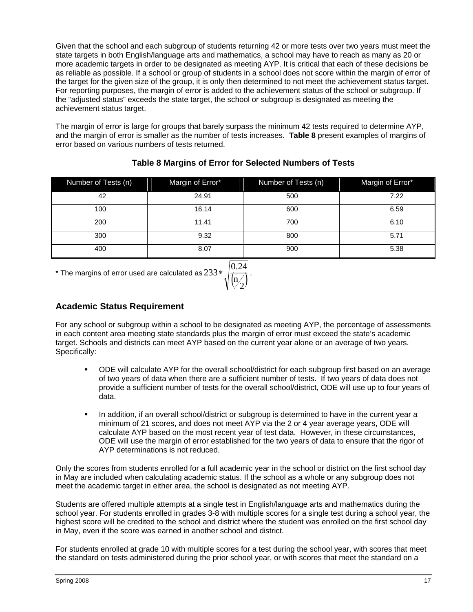Given that the school and each subgroup of students returning 42 or more tests over two years must meet the state targets in both English/language arts and mathematics, a school may have to reach as many as 20 or more academic targets in order to be designated as meeting AYP. It is critical that each of these decisions be as reliable as possible. If a school or group of students in a school does not score within the margin of error of the target for the given size of the group, it is only then determined to not meet the achievement status target. For reporting purposes, the margin of error is added to the achievement status of the school or subgroup. If the "adjusted status" exceeds the state target, the school or subgroup is designated as meeting the achievement status target.

The margin of error is large for groups that barely surpass the minimum 42 tests required to determine AYP, and the margin of error is smaller as the number of tests increases. **Table 8** present examples of margins of error based on various numbers of tests returned.

| Number of Tests (n) | Margin of Error* | Number of Tests (n) | Margin of Error* |
|---------------------|------------------|---------------------|------------------|
| 42                  | 24.91            | 500                 | 7.22             |
| 100                 | 16.14            | 600                 | 6.59             |
| 200                 | 11.41            | 700                 | 6.10             |
| 300                 | 9.32             | 800                 | 5.71             |
| 400                 | 8.07             | 900                 | 5.38             |

#### **Table 8 Margins of Error for Selected Numbers of Tests**

 $^*$  The margins of error used are calculated as  $233 * \sqrt{\binom{\mathbf{n}}{2}}$  $233* \frac{0.24}{1}$ .

## **Academic Status Requirement**

For any school or subgroup within a school to be designated as meeting AYP, the percentage of assessments in each content area meeting state standards plus the margin of error must exceed the state's academic target. Schools and districts can meet AYP based on the current year alone or an average of two years. Specifically:

- ODE will calculate AYP for the overall school/district for each subgroup first based on an average of two years of data when there are a sufficient number of tests. If two years of data does not provide a sufficient number of tests for the overall school/district, ODE will use up to four years of data.
- In addition, if an overall school/district or subgroup is determined to have in the current year a minimum of 21 scores, and does not meet AYP via the 2 or 4 year average years, ODE will calculate AYP based on the most recent year of test data. However, in these circumstances, ODE will use the margin of error established for the two years of data to ensure that the rigor of AYP determinations is not reduced.

Only the scores from students enrolled for a full academic year in the school or district on the first school day in May are included when calculating academic status. If the school as a whole or any subgroup does not meet the academic target in either area, the school is designated as not meeting AYP.

Students are offered multiple attempts at a single test in English/language arts and mathematics during the school year. For students enrolled in grades 3-8 with multiple scores for a single test during a school year, the highest score will be credited to the school and district where the student was enrolled on the first school day in May, even if the score was earned in another school and district.

For students enrolled at grade 10 with multiple scores for a test during the school year, with scores that meet the standard on tests administered during the prior school year, or with scores that meet the standard on a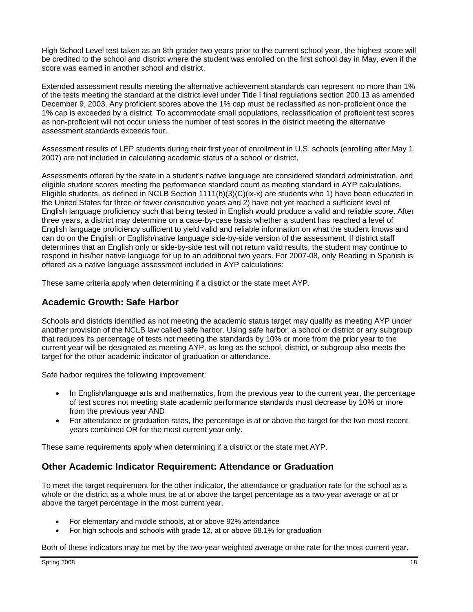High School Level test taken as an 8th grader two years prior to the current school year, the highest score will be credited to the school and district where the student was enrolled on the first school day in May, even if the score was earned in another school and district.

Extended assessment results meeting the alternative achievement standards can represent no more than 1% of the tests meeting the standard at the district level under Title I final regulations section 200.13 as amended December 9, 2003. Any proficient scores above the 1% cap must be reclassified as non-proficient once the 1% cap is exceeded by a district. To accommodate small populations, reclassification of proficient test scores as non-proficient will not occur unless the number of test scores in the district meeting the alternative assessment standards exceeds four.

Assessment results of LEP students during their first year of enrollment in U.S. schools (enrolling after May 1, 2007) are not included in calculating academic status of a school or district.

Assessments offered by the state in a student's native language are considered standard administration, and eligible student scores meeting the performance standard count as meeting standard in AYP calculations. Eligible students, as defined in NCLB Section  $1111(b)(3)(C)(ix-x)$  are students who 1) have been educated in the United States for three or fewer consecutive years and 2) have not yet reached a sufficient level of English language proficiency such that being tested in English would produce a valid and reliable score. After three years, a district may determine on a case-by-case basis whether a student has reached a level of English language proficiency sufficient to yield valid and reliable information on what the student knows and can do on the English or English/native language side-by-side version of the assessment. If district staff determines that an English only or side-by-side test will not return valid results, the student may continue to respond in his/her native language for up to an additional two years. For 2007-08, only Reading in Spanish is offered as a native language assessment included in AYP calculations:

These same criteria apply when determining if a district or the state meet AYP.

#### **Academic Growth: Safe Harbor**

Schools and districts identified as not meeting the academic status target may qualify as meeting AYP under another provision of the NCLB law called safe harbor. Using safe harbor, a school or district or any subgroup that reduces its percentage of tests not meeting the standards by 10% or more from the prior year to the current year will be designated as meeting AYP, as long as the school, district, or subgroup also meets the target for the other academic indicator of graduation or attendance.

Safe harbor requires the following improvement:

- In English/language arts and mathematics, from the previous year to the current year, the percentage of test scores not meeting state academic performance standards must decrease by 10% or more from the previous year AND
- For attendance or graduation rates, the percentage is at or above the target for the two most recent years combined OR for the most current year only.

These same requirements apply when determining if a district or the state met AYP.

## **Other Academic Indicator Requirement: Attendance or Graduation**

To meet the target requirement for the other indicator, the attendance or graduation rate for the school as a whole or the district as a whole must be at or above the target percentage as a two-year average or at or above the target percentage in the most current year.

- For elementary and middle schools, at or above 92% attendance
- For high schools and schools with grade 12, at or above 68.1% for graduation

Both of these indicators may be met by the two-year weighted average or the rate for the most current year.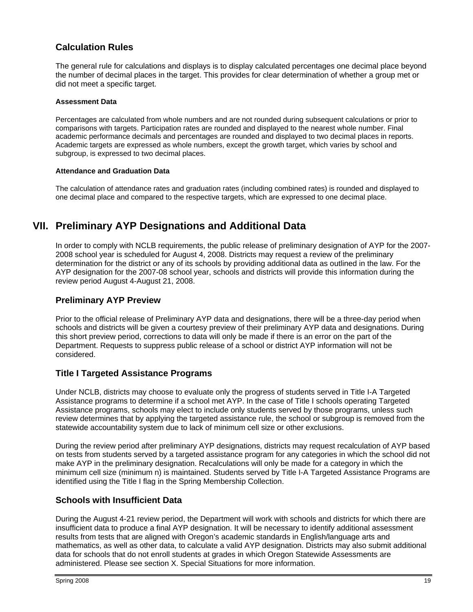## **Calculation Rules**

The general rule for calculations and displays is to display calculated percentages one decimal place beyond the number of decimal places in the target. This provides for clear determination of whether a group met or did not meet a specific target.

#### **Assessment Data**

Percentages are calculated from whole numbers and are not rounded during subsequent calculations or prior to comparisons with targets. Participation rates are rounded and displayed to the nearest whole number. Final academic performance decimals and percentages are rounded and displayed to two decimal places in reports. Academic targets are expressed as whole numbers, except the growth target, which varies by school and subgroup, is expressed to two decimal places.

#### **Attendance and Graduation Data**

The calculation of attendance rates and graduation rates (including combined rates) is rounded and displayed to one decimal place and compared to the respective targets, which are expressed to one decimal place.

# **VII. Preliminary AYP Designations and Additional Data**

In order to comply with NCLB requirements, the public release of preliminary designation of AYP for the 2007- 2008 school year is scheduled for August 4, 2008. Districts may request a review of the preliminary determination for the district or any of its schools by providing additional data as outlined in the law. For the AYP designation for the 2007-08 school year, schools and districts will provide this information during the review period August 4-August 21, 2008.

#### **Preliminary AYP Preview**

Prior to the official release of Preliminary AYP data and designations, there will be a three-day period when schools and districts will be given a courtesy preview of their preliminary AYP data and designations. During this short preview period, corrections to data will only be made if there is an error on the part of the Department. Requests to suppress public release of a school or district AYP information will not be considered.

#### **Title I Targeted Assistance Programs**

Under NCLB, districts may choose to evaluate only the progress of students served in Title I-A Targeted Assistance programs to determine if a school met AYP. In the case of Title I schools operating Targeted Assistance programs, schools may elect to include only students served by those programs, unless such review determines that by applying the targeted assistance rule, the school or subgroup is removed from the statewide accountability system due to lack of minimum cell size or other exclusions.

During the review period after preliminary AYP designations, districts may request recalculation of AYP based on tests from students served by a targeted assistance program for any categories in which the school did not make AYP in the preliminary designation. Recalculations will only be made for a category in which the minimum cell size (minimum n) is maintained. Students served by Title I-A Targeted Assistance Programs are identified using the Title I flag in the Spring Membership Collection.

#### **Schools with Insufficient Data**

During the August 4-21 review period, the Department will work with schools and districts for which there are insufficient data to produce a final AYP designation. It will be necessary to identify additional assessment results from tests that are aligned with Oregon's academic standards in English/language arts and mathematics, as well as other data, to calculate a valid AYP designation. Districts may also submit additional data for schools that do not enroll students at grades in which Oregon Statewide Assessments are administered. Please see section X. Special Situations for more information.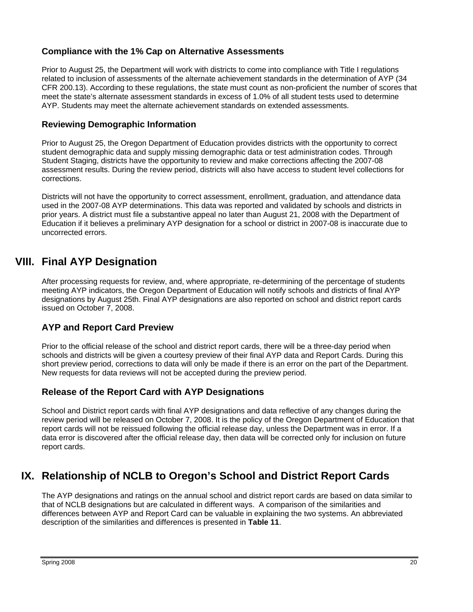#### **Compliance with the 1% Cap on Alternative Assessments**

Prior to August 25, the Department will work with districts to come into compliance with Title I regulations related to inclusion of assessments of the alternate achievement standards in the determination of AYP (34 CFR 200.13). According to these regulations, the state must count as non-proficient the number of scores that meet the state's alternate assessment standards in excess of 1.0% of all student tests used to determine AYP. Students may meet the alternate achievement standards on extended assessments.

#### **Reviewing Demographic Information**

Prior to August 25, the Oregon Department of Education provides districts with the opportunity to correct student demographic data and supply missing demographic data or test administration codes. Through Student Staging, districts have the opportunity to review and make corrections affecting the 2007-08 assessment results. During the review period, districts will also have access to student level collections for corrections.

Districts will not have the opportunity to correct assessment, enrollment, graduation, and attendance data used in the 2007-08 AYP determinations. This data was reported and validated by schools and districts in prior years. A district must file a substantive appeal no later than August 21, 2008 with the Department of Education if it believes a preliminary AYP designation for a school or district in 2007-08 is inaccurate due to uncorrected errors.

## **VIII. Final AYP Designation**

After processing requests for review, and, where appropriate, re-determining of the percentage of students meeting AYP indicators, the Oregon Department of Education will notify schools and districts of final AYP designations by August 25th. Final AYP designations are also reported on school and district report cards issued on October 7, 2008.

## **AYP and Report Card Preview**

Prior to the official release of the school and district report cards, there will be a three-day period when schools and districts will be given a courtesy preview of their final AYP data and Report Cards. During this short preview period, corrections to data will only be made if there is an error on the part of the Department. New requests for data reviews will not be accepted during the preview period.

## **Release of the Report Card with AYP Designations**

School and District report cards with final AYP designations and data reflective of any changes during the review period will be released on October 7, 2008. It is the policy of the Oregon Department of Education that report cards will not be reissued following the official release day, unless the Department was in error. If a data error is discovered after the official release day, then data will be corrected only for inclusion on future report cards.

# **IX. Relationship of NCLB to Oregon's School and District Report Cards**

The AYP designations and ratings on the annual school and district report cards are based on data similar to that of NCLB designations but are calculated in different ways. A comparison of the similarities and differences between AYP and Report Card can be valuable in explaining the two systems. An abbreviated description of the similarities and differences is presented in **Table 11**.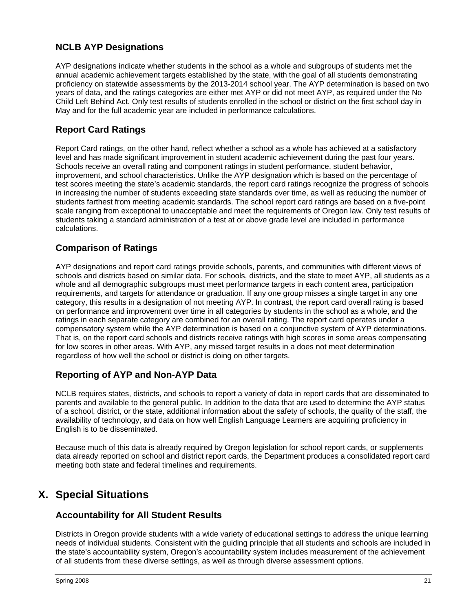## **NCLB AYP Designations**

AYP designations indicate whether students in the school as a whole and subgroups of students met the annual academic achievement targets established by the state, with the goal of all students demonstrating proficiency on statewide assessments by the 2013-2014 school year. The AYP determination is based on two years of data, and the ratings categories are either met AYP or did not meet AYP, as required under the No Child Left Behind Act. Only test results of students enrolled in the school or district on the first school day in May and for the full academic year are included in performance calculations.

## **Report Card Ratings**

Report Card ratings, on the other hand, reflect whether a school as a whole has achieved at a satisfactory level and has made significant improvement in student academic achievement during the past four years. Schools receive an overall rating and component ratings in student performance, student behavior, improvement, and school characteristics. Unlike the AYP designation which is based on the percentage of test scores meeting the state's academic standards, the report card ratings recognize the progress of schools in increasing the number of students exceeding state standards over time, as well as reducing the number of students farthest from meeting academic standards. The school report card ratings are based on a five-point scale ranging from exceptional to unacceptable and meet the requirements of Oregon law. Only test results of students taking a standard administration of a test at or above grade level are included in performance calculations.

## **Comparison of Ratings**

AYP designations and report card ratings provide schools, parents, and communities with different views of schools and districts based on similar data. For schools, districts, and the state to meet AYP, all students as a whole and all demographic subgroups must meet performance targets in each content area, participation requirements, and targets for attendance or graduation. If any one group misses a single target in any one category, this results in a designation of not meeting AYP. In contrast, the report card overall rating is based on performance and improvement over time in all categories by students in the school as a whole, and the ratings in each separate category are combined for an overall rating. The report card operates under a compensatory system while the AYP determination is based on a conjunctive system of AYP determinations. That is, on the report card schools and districts receive ratings with high scores in some areas compensating for low scores in other areas. With AYP, any missed target results in a does not meet determination regardless of how well the school or district is doing on other targets.

## **Reporting of AYP and Non-AYP Data**

NCLB requires states, districts, and schools to report a variety of data in report cards that are disseminated to parents and available to the general public. In addition to the data that are used to determine the AYP status of a school, district, or the state, additional information about the safety of schools, the quality of the staff, the availability of technology, and data on how well English Language Learners are acquiring proficiency in English is to be disseminated.

Because much of this data is already required by Oregon legislation for school report cards, or supplements data already reported on school and district report cards, the Department produces a consolidated report card meeting both state and federal timelines and requirements.

# **X. Special Situations**

## **Accountability for All Student Results**

Districts in Oregon provide students with a wide variety of educational settings to address the unique learning needs of individual students. Consistent with the guiding principle that all students and schools are included in the state's accountability system, Oregon's accountability system includes measurement of the achievement of all students from these diverse settings, as well as through diverse assessment options.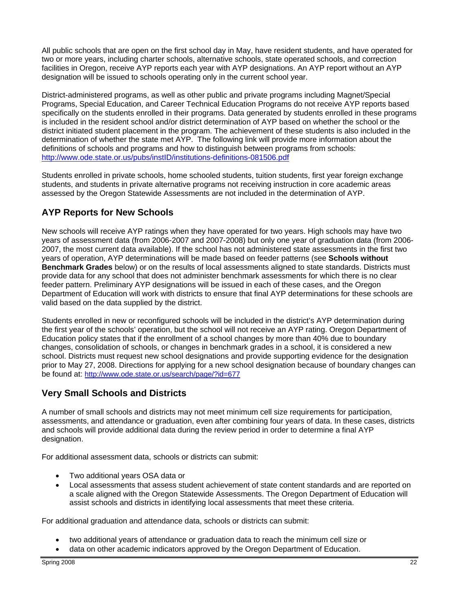All public schools that are open on the first school day in May, have resident students, and have operated for two or more years, including charter schools, alternative schools, state operated schools, and correction facilities in Oregon, receive AYP reports each year with AYP designations. An AYP report without an AYP designation will be issued to schools operating only in the current school year.

District-administered programs, as well as other public and private programs including Magnet/Special Programs, Special Education, and Career Technical Education Programs do not receive AYP reports based specifically on the students enrolled in their programs. Data generated by students enrolled in these programs is included in the resident school and/or district determination of AYP based on whether the school or the district initiated student placement in the program. The achievement of these students is also included in the determination of whether the state met AYP. The following link will provide more information about the definitions of schools and programs and how to distinguish between programs from schools: http://www.ode.state.or.us/pubs/instID/institutions-definitions-081506.pdf

Students enrolled in private schools, home schooled students, tuition students, first year foreign exchange students, and students in private alternative programs not receiving instruction in core academic areas assessed by the Oregon Statewide Assessments are not included in the determination of AYP.

## **AYP Reports for New Schools**

New schools will receive AYP ratings when they have operated for two years. High schools may have two years of assessment data (from 2006-2007 and 2007-2008) but only one year of graduation data (from 2006- 2007, the most current data available). If the school has not administered state assessments in the first two years of operation, AYP determinations will be made based on feeder patterns (see **Schools without Benchmark Grades** below) or on the results of local assessments aligned to state standards. Districts must provide data for any school that does not administer benchmark assessments for which there is no clear feeder pattern. Preliminary AYP designations will be issued in each of these cases, and the Oregon Department of Education will work with districts to ensure that final AYP determinations for these schools are valid based on the data supplied by the district.

Students enrolled in new or reconfigured schools will be included in the district's AYP determination during the first year of the schools' operation, but the school will not receive an AYP rating. Oregon Department of Education policy states that if the enrollment of a school changes by more than 40% due to boundary changes, consolidation of schools, or changes in benchmark grades in a school, it is considered a new school. Districts must request new school designations and provide supporting evidence for the designation prior to May 27, 2008. Directions for applying for a new school designation because of boundary changes can be found at: http://www.ode.state.or.us/search/page/?id=677

## **Very Small Schools and Districts**

A number of small schools and districts may not meet minimum cell size requirements for participation, assessments, and attendance or graduation, even after combining four years of data. In these cases, districts and schools will provide additional data during the review period in order to determine a final AYP designation.

For additional assessment data, schools or districts can submit:

- Two additional years OSA data or
- Local assessments that assess student achievement of state content standards and are reported on a scale aligned with the Oregon Statewide Assessments. The Oregon Department of Education will assist schools and districts in identifying local assessments that meet these criteria.

For additional graduation and attendance data, schools or districts can submit:

- two additional years of attendance or graduation data to reach the minimum cell size or
- data on other academic indicators approved by the Oregon Department of Education.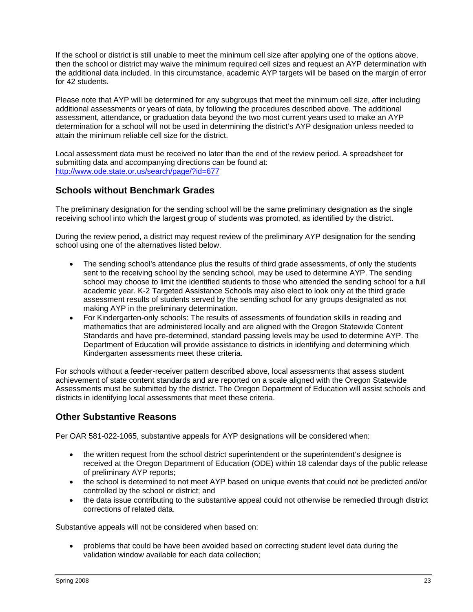If the school or district is still unable to meet the minimum cell size after applying one of the options above, then the school or district may waive the minimum required cell sizes and request an AYP determination with the additional data included. In this circumstance, academic AYP targets will be based on the margin of error for 42 students.

Please note that AYP will be determined for any subgroups that meet the minimum cell size, after including additional assessments or years of data, by following the procedures described above. The additional assessment, attendance, or graduation data beyond the two most current years used to make an AYP determination for a school will not be used in determining the district's AYP designation unless needed to attain the minimum reliable cell size for the district.

Local assessment data must be received no later than the end of the review period. A spreadsheet for submitting data and accompanying directions can be found at: http://www.ode.state.or.us/search/page/?id=677

## **Schools without Benchmark Grades**

The preliminary designation for the sending school will be the same preliminary designation as the single receiving school into which the largest group of students was promoted, as identified by the district.

During the review period, a district may request review of the preliminary AYP designation for the sending school using one of the alternatives listed below.

- The sending school's attendance plus the results of third grade assessments, of only the students sent to the receiving school by the sending school, may be used to determine AYP. The sending school may choose to limit the identified students to those who attended the sending school for a full academic year. K-2 Targeted Assistance Schools may also elect to look only at the third grade assessment results of students served by the sending school for any groups designated as not making AYP in the preliminary determination.
- For Kindergarten-only schools: The results of assessments of foundation skills in reading and mathematics that are administered locally and are aligned with the Oregon Statewide Content Standards and have pre-determined, standard passing levels may be used to determine AYP. The Department of Education will provide assistance to districts in identifying and determining which Kindergarten assessments meet these criteria.

For schools without a feeder-receiver pattern described above, local assessments that assess student achievement of state content standards and are reported on a scale aligned with the Oregon Statewide Assessments must be submitted by the district. The Oregon Department of Education will assist schools and districts in identifying local assessments that meet these criteria.

## **Other Substantive Reasons**

Per OAR 581-022-1065, substantive appeals for AYP designations will be considered when:

- the written request from the school district superintendent or the superintendent's designee is received at the Oregon Department of Education (ODE) within 18 calendar days of the public release of preliminary AYP reports;
- the school is determined to not meet AYP based on unique events that could not be predicted and/or controlled by the school or district; and
- the data issue contributing to the substantive appeal could not otherwise be remedied through district corrections of related data.

Substantive appeals will not be considered when based on:

• problems that could be have been avoided based on correcting student level data during the validation window available for each data collection;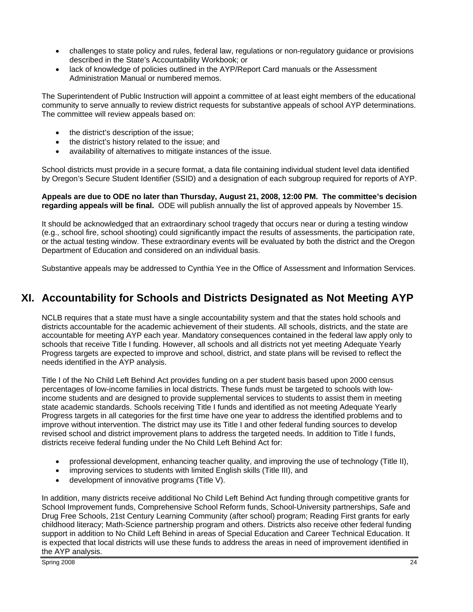- challenges to state policy and rules, federal law, regulations or non-regulatory guidance or provisions described in the State's Accountability Workbook; or
- lack of knowledge of policies outlined in the AYP/Report Card manuals or the Assessment Administration Manual or numbered memos.

The Superintendent of Public Instruction will appoint a committee of at least eight members of the educational community to serve annually to review district requests for substantive appeals of school AYP determinations. The committee will review appeals based on:

- the district's description of the issue;
- the district's history related to the issue; and
- availability of alternatives to mitigate instances of the issue.

School districts must provide in a secure format, a data file containing individual student level data identified by Oregon's Secure Student Identifier (SSID) and a designation of each subgroup required for reports of AYP.

**Appeals are due to ODE no later than Thursday, August 21, 2008, 12:00 PM. The committee's decision regarding appeals will be final.** ODE will publish annually the list of approved appeals by November 15.

It should be acknowledged that an extraordinary school tragedy that occurs near or during a testing window (e.g., school fire, school shooting) could significantly impact the results of assessments, the participation rate, or the actual testing window. These extraordinary events will be evaluated by both the district and the Oregon Department of Education and considered on an individual basis.

Substantive appeals may be addressed to Cynthia Yee in the Office of Assessment and Information Services.

## **XI. Accountability for Schools and Districts Designated as Not Meeting AYP**

NCLB requires that a state must have a single accountability system and that the states hold schools and districts accountable for the academic achievement of their students. All schools, districts, and the state are accountable for meeting AYP each year. Mandatory consequences contained in the federal law apply only to schools that receive Title I funding. However, all schools and all districts not yet meeting Adequate Yearly Progress targets are expected to improve and school, district, and state plans will be revised to reflect the needs identified in the AYP analysis.

Title I of the No Child Left Behind Act provides funding on a per student basis based upon 2000 census percentages of low-income families in local districts. These funds must be targeted to schools with lowincome students and are designed to provide supplemental services to students to assist them in meeting state academic standards. Schools receiving Title I funds and identified as not meeting Adequate Yearly Progress targets in all categories for the first time have one year to address the identified problems and to improve without intervention. The district may use its Title I and other federal funding sources to develop revised school and district improvement plans to address the targeted needs. In addition to Title I funds, districts receive federal funding under the No Child Left Behind Act for:

- professional development, enhancing teacher quality, and improving the use of technology (Title II),
- improving services to students with limited English skills (Title III), and
- development of innovative programs (Title V).

In addition, many districts receive additional No Child Left Behind Act funding through competitive grants for School Improvement funds, Comprehensive School Reform funds, School-University partnerships, Safe and Drug Free Schools, 21st Century Learning Community (after school) program; Reading First grants for early childhood literacy; Math-Science partnership program and others. Districts also receive other federal funding support in addition to No Child Left Behind in areas of Special Education and Career Technical Education. It is expected that local districts will use these funds to address the areas in need of improvement identified in the AYP analysis.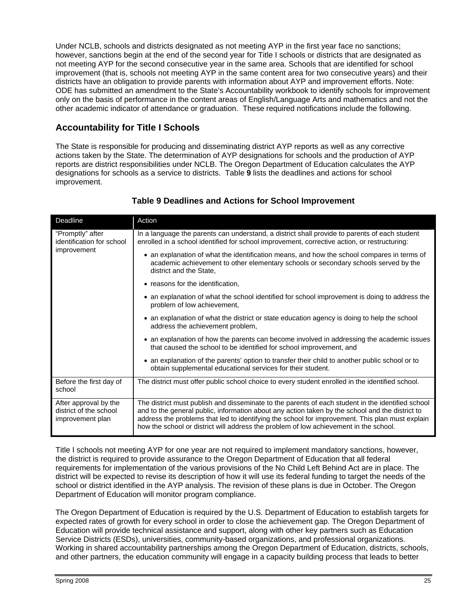Under NCLB, schools and districts designated as not meeting AYP in the first year face no sanctions; however, sanctions begin at the end of the second year for Title I schools or districts that are designated as not meeting AYP for the second consecutive year in the same area. Schools that are identified for school improvement (that is, schools not meeting AYP in the same content area for two consecutive years) and their districts have an obligation to provide parents with information about AYP and improvement efforts. Note: ODE has submitted an amendment to the State's Accountability workbook to identify schools for improvement only on the basis of performance in the content areas of English/Language Arts and mathematics and not the other academic indicator of attendance or graduation. These required notifications include the following.

## **Accountability for Title I Schools**

The State is responsible for producing and disseminating district AYP reports as well as any corrective actions taken by the State. The determination of AYP designations for schools and the production of AYP reports are district responsibilities under NCLB. The Oregon Department of Education calculates the AYP designations for schools as a service to districts. Table **9** lists the deadlines and actions for school improvement.

| Deadline                                                            | Action                                                                                                                                                                                                                                                                                                                                                                                           |
|---------------------------------------------------------------------|--------------------------------------------------------------------------------------------------------------------------------------------------------------------------------------------------------------------------------------------------------------------------------------------------------------------------------------------------------------------------------------------------|
| "Promptly" after<br>identification for school<br>improvement        | In a language the parents can understand, a district shall provide to parents of each student<br>enrolled in a school identified for school improvement, corrective action, or restructuring:                                                                                                                                                                                                    |
|                                                                     | • an explanation of what the identification means, and how the school compares in terms of<br>academic achievement to other elementary schools or secondary schools served by the<br>district and the State,                                                                                                                                                                                     |
|                                                                     | • reasons for the identification,                                                                                                                                                                                                                                                                                                                                                                |
|                                                                     | • an explanation of what the school identified for school improvement is doing to address the<br>problem of low achievement,                                                                                                                                                                                                                                                                     |
|                                                                     | • an explanation of what the district or state education agency is doing to help the school<br>address the achievement problem,                                                                                                                                                                                                                                                                  |
|                                                                     | • an explanation of how the parents can become involved in addressing the academic issues<br>that caused the school to be identified for school improvement, and                                                                                                                                                                                                                                 |
|                                                                     | • an explanation of the parents' option to transfer their child to another public school or to<br>obtain supplemental educational services for their student.                                                                                                                                                                                                                                    |
| Before the first day of<br>school                                   | The district must offer public school choice to every student enrolled in the identified school.                                                                                                                                                                                                                                                                                                 |
| After approval by the<br>district of the school<br>improvement plan | The district must publish and disseminate to the parents of each student in the identified school<br>and to the general public, information about any action taken by the school and the district to<br>address the problems that led to identifying the school for improvement. This plan must explain<br>how the school or district will address the problem of low achievement in the school. |

#### **Table 9 Deadlines and Actions for School Improvement**

Title I schools not meeting AYP for one year are not required to implement mandatory sanctions, however, the district is required to provide assurance to the Oregon Department of Education that all federal requirements for implementation of the various provisions of the No Child Left Behind Act are in place. The district will be expected to revise its description of how it will use its federal funding to target the needs of the school or district identified in the AYP analysis. The revision of these plans is due in October. The Oregon Department of Education will monitor program compliance.

The Oregon Department of Education is required by the U.S. Department of Education to establish targets for expected rates of growth for every school in order to close the achievement gap. The Oregon Department of Education will provide technical assistance and support, along with other key partners such as Education Service Districts (ESDs), universities, community-based organizations, and professional organizations. Working in shared accountability partnerships among the Oregon Department of Education, districts, schools, and other partners, the education community will engage in a capacity building process that leads to better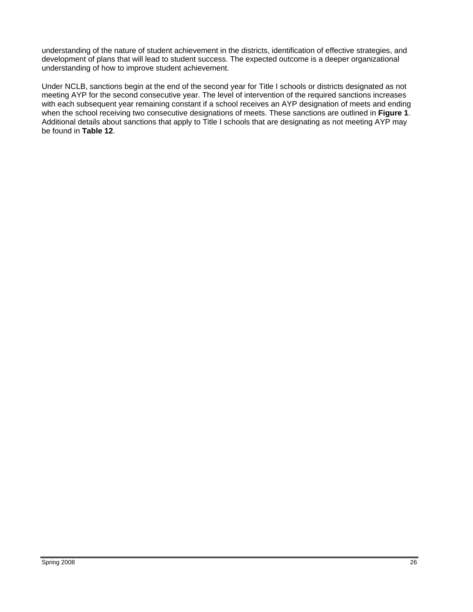understanding of the nature of student achievement in the districts, identification of effective strategies, and development of plans that will lead to student success. The expected outcome is a deeper organizational understanding of how to improve student achievement.

Under NCLB, sanctions begin at the end of the second year for Title I schools or districts designated as not meeting AYP for the second consecutive year. The level of intervention of the required sanctions increases with each subsequent year remaining constant if a school receives an AYP designation of meets and ending when the school receiving two consecutive designations of meets. These sanctions are outlined in **Figure 1**. Additional details about sanctions that apply to Title I schools that are designating as not meeting AYP may be found in **Table 12**.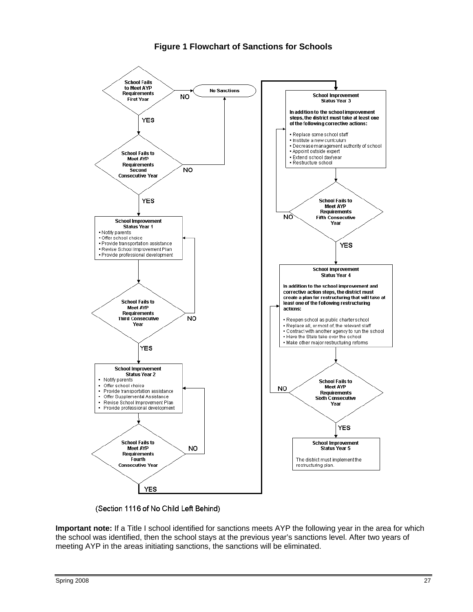#### **Figure 1 Flowchart of Sanctions for Schools**



(Section 1116 of No Child Left Behind)

**Important note:** If a Title I school identified for sanctions meets AYP the following year in the area for which the school was identified, then the school stays at the previous year's sanctions level. After two years of meeting AYP in the areas initiating sanctions, the sanctions will be eliminated.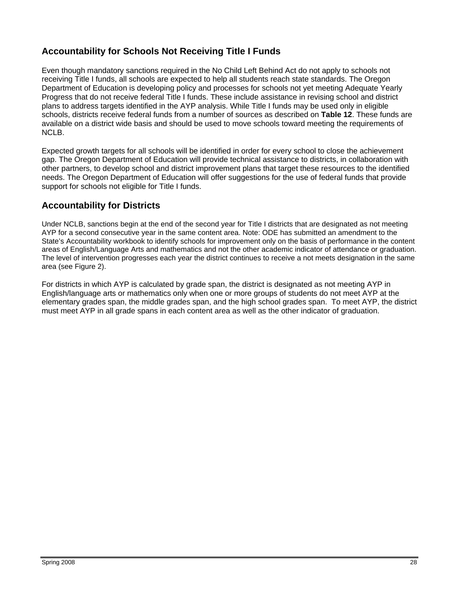## **Accountability for Schools Not Receiving Title I Funds**

Even though mandatory sanctions required in the No Child Left Behind Act do not apply to schools not receiving Title I funds, all schools are expected to help all students reach state standards. The Oregon Department of Education is developing policy and processes for schools not yet meeting Adequate Yearly Progress that do not receive federal Title I funds. These include assistance in revising school and district plans to address targets identified in the AYP analysis. While Title I funds may be used only in eligible schools, districts receive federal funds from a number of sources as described on **Table 12**. These funds are available on a district wide basis and should be used to move schools toward meeting the requirements of NCLB.

Expected growth targets for all schools will be identified in order for every school to close the achievement gap. The Oregon Department of Education will provide technical assistance to districts, in collaboration with other partners, to develop school and district improvement plans that target these resources to the identified needs. The Oregon Department of Education will offer suggestions for the use of federal funds that provide support for schools not eligible for Title I funds.

## **Accountability for Districts**

Under NCLB, sanctions begin at the end of the second year for Title I districts that are designated as not meeting AYP for a second consecutive year in the same content area. Note: ODE has submitted an amendment to the State's Accountability workbook to identify schools for improvement only on the basis of performance in the content areas of English/Language Arts and mathematics and not the other academic indicator of attendance or graduation. The level of intervention progresses each year the district continues to receive a not meets designation in the same area (see Figure 2).

For districts in which AYP is calculated by grade span, the district is designated as not meeting AYP in English/language arts or mathematics only when one or more groups of students do not meet AYP at the elementary grades span, the middle grades span, and the high school grades span. To meet AYP, the district must meet AYP in all grade spans in each content area as well as the other indicator of graduation.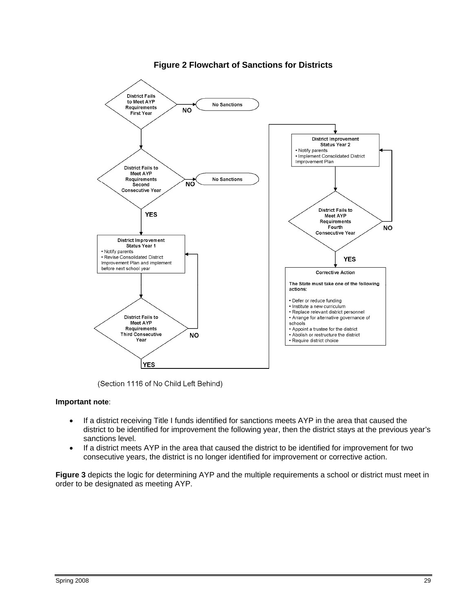

#### **Figure 2 Flowchart of Sanctions for Districts**

(Section 1116 of No Child Left Behind)

#### **Important note**:

- If a district receiving Title I funds identified for sanctions meets AYP in the area that caused the district to be identified for improvement the following year, then the district stays at the previous year's sanctions level.
- If a district meets AYP in the area that caused the district to be identified for improvement for two consecutive years, the district is no longer identified for improvement or corrective action.

**Figure 3** depicts the logic for determining AYP and the multiple requirements a school or district must meet in order to be designated as meeting AYP.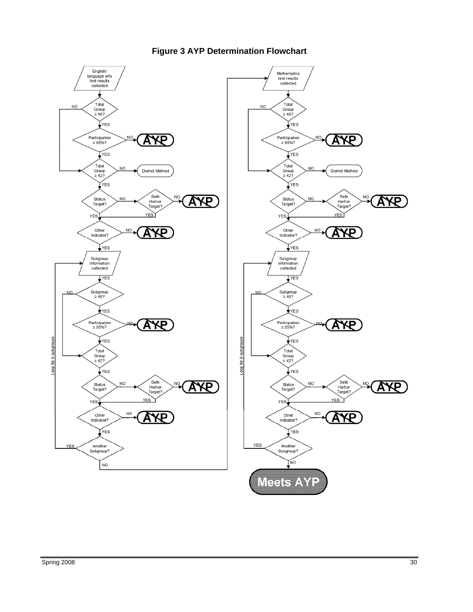

## **Figure 3 AYP Determination Flowchart**

Mathematics

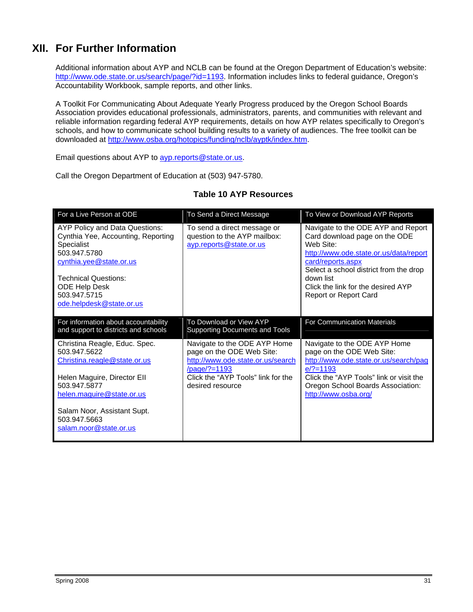# **XII. For Further Information**

Additional information about AYP and NCLB can be found at the Oregon Department of Education's website: http://www.ode.state.or.us/search/page/?id=1193. Information includes links to federal guidance, Oregon's Accountability Workbook, sample reports, and other links.

A Toolkit For Communicating About Adequate Yearly Progress produced by the Oregon School Boards Association provides educational professionals, administrators, parents, and communities with relevant and reliable information regarding federal AYP requirements, details on how AYP relates specifically to Oregon's schools, and how to communicate school building results to a variety of audiences. The free toolkit can be downloaded at http://www.osba.org/hotopics/funding/nclb/ayptk/index.htm.

Email questions about AYP to [ayp.reports@state.or.us.](mailto:ayp.reports@state.or.us)

Call the Oregon Department of Education at (503) 947-5780.

| For a Live Person at ODE                                                                                                                                                                                                  | To Send a Direct Message                                                                                                                                                 | To View or Download AYP Reports                                                                                                                                                                                                                                       |
|---------------------------------------------------------------------------------------------------------------------------------------------------------------------------------------------------------------------------|--------------------------------------------------------------------------------------------------------------------------------------------------------------------------|-----------------------------------------------------------------------------------------------------------------------------------------------------------------------------------------------------------------------------------------------------------------------|
| AYP Policy and Data Questions:<br>Cynthia Yee, Accounting, Reporting<br>Specialist<br>503.947.5780<br>cynthia.yee@state.or.us<br><b>Technical Questions:</b><br>ODE Help Desk<br>503.947.5715<br>ode.helpdesk@state.or.us | To send a direct message or<br>question to the AYP mailbox:<br>ayp.reports@state.or.us                                                                                   | Navigate to the ODE AYP and Report<br>Card download page on the ODE<br>Web Site:<br>http://www.ode.state.or.us/data/report<br>card/reports.aspx<br>Select a school district from the drop<br>down list<br>Click the link for the desired AYP<br>Report or Report Card |
| For information about accountability<br>and support to districts and schools                                                                                                                                              | To Download or View AYP<br>Supporting Documents and Tools                                                                                                                | For Communication Materials                                                                                                                                                                                                                                           |
| Christina Reagle, Educ. Spec.<br>503.947.5622<br>Christina.reagle@state.or.us<br>Helen Maguire, Director Ell<br>503.947.5877<br>helen.maguire@state.or.us                                                                 | Navigate to the ODE AYP Home<br>page on the ODE Web Site:<br>http://www.ode.state.or.us/search<br>/page/?=1193<br>Click the "AYP Tools" link for the<br>desired resource | Navigate to the ODE AYP Home<br>page on the ODE Web Site:<br>http://www.ode.state.or.us/search/pag<br>$e$ /?=1193<br>Click the "AYP Tools" link or visit the<br>Oregon School Boards Association:<br>http://www.osba.org/                                             |
| Salam Noor, Assistant Supt.<br>503.947.5663<br>salam.noor@state.or.us                                                                                                                                                     |                                                                                                                                                                          |                                                                                                                                                                                                                                                                       |

#### **Table 10 AYP Resources**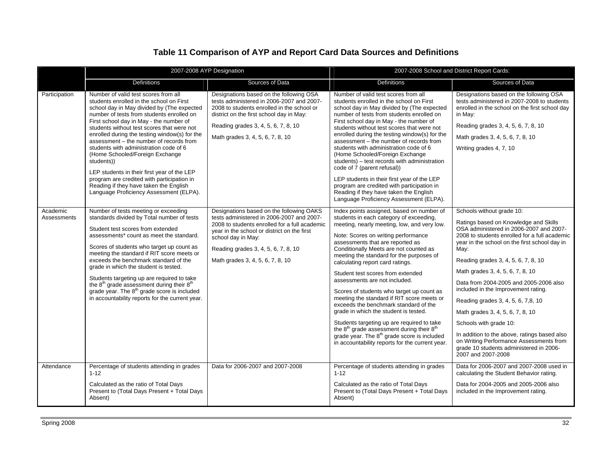## **Table 11 Comparison of AYP and Report Card Data Sources and Definitions**

|                         | 2007-2008 AYP Designation                                                                                                                                                                                                                                                                                                                                                                                                                                                                                                                                                                                                                     |                                                                                                                                                                                                                                                                                        | 2007-2008 School and District Report Cards:                                                                                                                                                                                                                                                                                                                                                                                                                                                                                                                                                                                                                                                                                                                                                                                  |                                                                                                                                                                                                                                                                                                                                                                                                                                                                                                                                                                                                                                                     |  |
|-------------------------|-----------------------------------------------------------------------------------------------------------------------------------------------------------------------------------------------------------------------------------------------------------------------------------------------------------------------------------------------------------------------------------------------------------------------------------------------------------------------------------------------------------------------------------------------------------------------------------------------------------------------------------------------|----------------------------------------------------------------------------------------------------------------------------------------------------------------------------------------------------------------------------------------------------------------------------------------|------------------------------------------------------------------------------------------------------------------------------------------------------------------------------------------------------------------------------------------------------------------------------------------------------------------------------------------------------------------------------------------------------------------------------------------------------------------------------------------------------------------------------------------------------------------------------------------------------------------------------------------------------------------------------------------------------------------------------------------------------------------------------------------------------------------------------|-----------------------------------------------------------------------------------------------------------------------------------------------------------------------------------------------------------------------------------------------------------------------------------------------------------------------------------------------------------------------------------------------------------------------------------------------------------------------------------------------------------------------------------------------------------------------------------------------------------------------------------------------------|--|
|                         | <b>Definitions</b>                                                                                                                                                                                                                                                                                                                                                                                                                                                                                                                                                                                                                            | Sources of Data                                                                                                                                                                                                                                                                        | <b>Definitions</b>                                                                                                                                                                                                                                                                                                                                                                                                                                                                                                                                                                                                                                                                                                                                                                                                           | Sources of Data                                                                                                                                                                                                                                                                                                                                                                                                                                                                                                                                                                                                                                     |  |
| Participation           | Number of valid test scores from all<br>students enrolled in the school on First<br>school day in May divided by (The expected<br>number of tests from students enrolled on<br>First school day in May - the number of<br>students without test scores that were not<br>enrolled during the testing window(s) for the<br>assessment - the number of records from<br>students with administration code of 6<br>(Home Schooled/Foreign Exchange<br>students))<br>LEP students in their first year of the LEP<br>program are credited with participation in<br>Reading if they have taken the English<br>Language Proficiency Assessment (ELPA). | Designations based on the following OSA<br>tests administered in 2006-2007 and 2007-<br>2008 to students enrolled in the school or<br>district on the first school day in May:<br>Reading grades 3, 4, 5, 6, 7, 8, 10<br>Math grades 3, 4, 5, 6, 7, 8, 10                              | Number of valid test scores from all<br>students enrolled in the school on First<br>school day in May divided by (The expected<br>number of tests from students enrolled on<br>First school day in May - the number of<br>students without test scores that were not<br>enrolled during the testing window(s) for the<br>assessment - the number of records from<br>students with administration code of 6<br>(Home Schooled/Foreign Exchange<br>students) - test records with administration<br>code of 7 (parent refusal))<br>LEP students in their first year of the LEP<br>program are credited with participation in<br>Reading if they have taken the English<br>Language Proficiency Assessment (ELPA).                                                                                                               | Designations based on the following OSA<br>tests administered in 2007-2008 to students<br>enrolled in the school on the first school day<br>in May:<br>Reading grades 3, 4, 5, 6, 7, 8, 10<br>Math grades 3, 4, 5, 6, 7, 8, 10<br>Writing grades 4, 7, 10                                                                                                                                                                                                                                                                                                                                                                                           |  |
| Academic<br>Assessments | Number of tests meeting or exceeding<br>standards divided by Total number of tests<br>Student test scores from extended<br>assessments* count as meet the standard.<br>Scores of students who target up count as<br>meeting the standard if RIT score meets or<br>exceeds the benchmark standard of the<br>grade in which the student is tested.<br>Students targeting up are required to take<br>the 8 <sup>th</sup> grade assessment during their 8 <sup>th</sup><br>grade year. The 8 <sup>th</sup> grade score is included<br>in accountability reports for the current year.                                                             | Designations based on the following OAKS<br>tests administered in 2006-2007 and 2007-<br>2008 to students enrolled for a full academic<br>year in the school or district on the first<br>school day in May:<br>Reading grades 3, 4, 5, 6, 7, 8, 10<br>Math grades 3, 4, 5, 6, 7, 8, 10 | Index points assigned, based on number of<br>students in each category of exceeding,<br>meeting, nearly meeting, low, and very low.<br>Note: Scores on writing performance<br>assessments that are reported as<br>Conditionally Meets are not counted as<br>meeting the standard for the purposes of<br>calculating report card ratings.<br>Student test scores from extended<br>assessments are not included.<br>Scores of students who target up count as<br>meeting the standard if RIT score meets or<br>exceeds the benchmark standard of the<br>grade in which the student is tested.<br>Students targeting up are required to take<br>the 8 <sup>th</sup> grade assessment during their 8 <sup>th</sup><br>grade year. The 8 <sup>th</sup> grade score is included<br>in accountability reports for the current year. | Schools without grade 10:<br>Ratings based on Knowledge and Skills<br>OSA administered in 2006-2007 and 2007-<br>2008 to students enrolled for a full academic<br>year in the school on the first school day in<br>Mav:<br>Reading grades 3, 4, 5, 6, 7, 8, 10<br>Math grades 3, 4, 5, 6, 7, 8, 10<br>Data from 2004-2005 and 2005-2006 also<br>included in the Improvement rating.<br>Reading grades 3, 4, 5, 6, 7,8, 10<br>Math grades 3, 4, 5, 6, 7, 8, 10<br>Schools with grade 10:<br>In addition to the above, ratings based also<br>on Writing Performance Assessments from<br>grade 10 students administered in 2006-<br>2007 and 2007-2008 |  |
| Attendance              | Percentage of students attending in grades<br>$1 - 12$<br>Calculated as the ratio of Total Days<br>Present to (Total Days Present + Total Days<br>Absent)                                                                                                                                                                                                                                                                                                                                                                                                                                                                                     | Data for 2006-2007 and 2007-2008                                                                                                                                                                                                                                                       | Percentage of students attending in grades<br>$1 - 12$<br>Calculated as the ratio of Total Days<br>Present to (Total Days Present + Total Days<br>Absent)                                                                                                                                                                                                                                                                                                                                                                                                                                                                                                                                                                                                                                                                    | Data for 2006-2007 and 2007-2008 used in<br>calculating the Student Behavior rating.<br>Data for 2004-2005 and 2005-2006 also<br>included in the Improvement rating.                                                                                                                                                                                                                                                                                                                                                                                                                                                                                |  |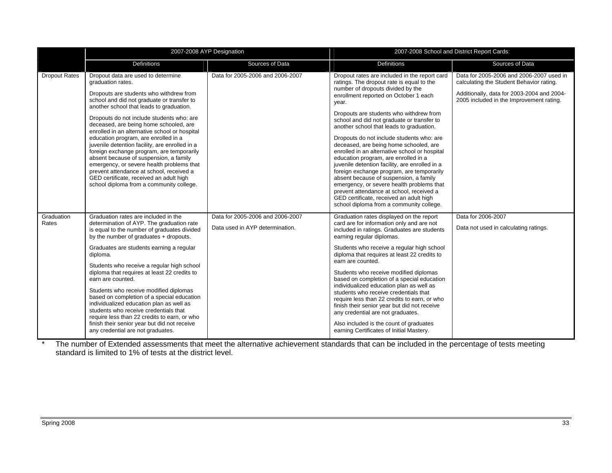|                      | 2007-2008 AYP Designation                                                                                                                                                                                                                                                                                                                                                                                                                                                                                                                                                                                                                                                                             |                                                                     | 2007-2008 School and District Report Cards:                                                                                                                                                                                                                                                                                                                                                                                                                                                                                                                                                                                                                                                                                                                                                                                     |                                                                                                                                                                                |  |
|----------------------|-------------------------------------------------------------------------------------------------------------------------------------------------------------------------------------------------------------------------------------------------------------------------------------------------------------------------------------------------------------------------------------------------------------------------------------------------------------------------------------------------------------------------------------------------------------------------------------------------------------------------------------------------------------------------------------------------------|---------------------------------------------------------------------|---------------------------------------------------------------------------------------------------------------------------------------------------------------------------------------------------------------------------------------------------------------------------------------------------------------------------------------------------------------------------------------------------------------------------------------------------------------------------------------------------------------------------------------------------------------------------------------------------------------------------------------------------------------------------------------------------------------------------------------------------------------------------------------------------------------------------------|--------------------------------------------------------------------------------------------------------------------------------------------------------------------------------|--|
|                      | Definitions                                                                                                                                                                                                                                                                                                                                                                                                                                                                                                                                                                                                                                                                                           | Sources of Data                                                     | <b>Definitions</b>                                                                                                                                                                                                                                                                                                                                                                                                                                                                                                                                                                                                                                                                                                                                                                                                              | Sources of Data                                                                                                                                                                |  |
| <b>Dropout Rates</b> | Dropout data are used to determine<br>graduation rates.<br>Dropouts are students who withdrew from<br>school and did not graduate or transfer to<br>another school that leads to graduation.<br>Dropouts do not include students who: are<br>deceased, are being home schooled, are<br>enrolled in an alternative school or hospital<br>education program, are enrolled in a<br>juvenile detention facility, are enrolled in a<br>foreign exchange program, are temporarily<br>absent because of suspension, a family<br>emergency, or severe health problems that<br>prevent attendance at school, received a<br>GED certificate, received an adult high<br>school diploma from a community college. | Data for 2005-2006 and 2006-2007                                    | Dropout rates are included in the report card<br>ratings. The dropout rate is equal to the<br>number of dropouts divided by the<br>enrollment reported on October 1 each<br>year.<br>Dropouts are students who withdrew from<br>school and did not graduate or transfer to<br>another school that leads to graduation.<br>Dropouts do not include students who: are<br>deceased, are being home schooled, are<br>enrolled in an alternative school or hospital<br>education program, are enrolled in a<br>juvenile detention facility, are enrolled in a<br>foreign exchange program, are temporarily<br>absent because of suspension, a family<br>emergency, or severe health problems that<br>prevent attendance at school, received a<br>GED certificate, received an adult high<br>school diploma from a community college. | Data for 2005-2006 and 2006-2007 used in<br>calculating the Student Behavior rating.<br>Additionally, data for 2003-2004 and 2004-<br>2005 included in the Improvement rating. |  |
| Graduation<br>Rates  | Graduation rates are included in the<br>determination of AYP. The graduation rate<br>is equal to the number of graduates divided<br>by the number of graduates + dropouts.<br>Graduates are students earning a regular<br>diploma.<br>Students who receive a regular high school<br>diploma that requires at least 22 credits to<br>earn are counted.<br>Students who receive modified diplomas<br>based on completion of a special education<br>individualized education plan as well as<br>students who receive credentials that<br>require less than 22 credits to earn, or who<br>finish their senior year but did not receive<br>any credential are not graduates.                               | Data for 2005-2006 and 2006-2007<br>Data used in AYP determination. | Graduation rates displayed on the report<br>card are for information only and are not<br>included in ratings. Graduates are students<br>earning regular diplomas.<br>Students who receive a regular high school<br>diploma that requires at least 22 credits to<br>earn are counted.<br>Students who receive modified diplomas<br>based on completion of a special education<br>individualized education plan as well as<br>students who receive credentials that<br>require less than 22 credits to earn, or who<br>finish their senior year but did not receive<br>any credential are not graduates.<br>Also included is the count of graduates<br>earning Certificates of Initial Mastery.                                                                                                                                   | Data for 2006-2007<br>Data not used in calculating ratings.                                                                                                                    |  |

\* The number of Extended assessments that meet the alternative achievement standards that can be included in the percentage of tests meeting standard is limited to 1% of tests at the district level.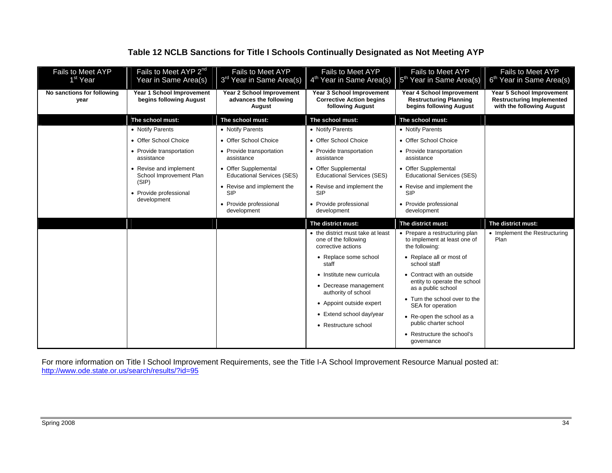## **Table 12 NCLB Sanctions for Title I Schools Continually Designated as Not Meeting AYP**

| Fails to Meet AYP<br>1 <sup>st</sup> Year | Fails to Meet AYP 2 <sup>nd</sup><br>Year in Same Area(s) | <b>Fails to Meet AYP</b><br>3 <sup>rd</sup> Year in Same Area(s) | <b>Fails to Meet AYP</b><br>4 <sup>th</sup> Year in Same Area(s)                 | Fails to Meet AYP<br>5 <sup>th</sup> Year in Same Area(s)                             | Fails to Meet AYP<br>6 <sup>th</sup> Year in Same Area(s)                                         |
|-------------------------------------------|-----------------------------------------------------------|------------------------------------------------------------------|----------------------------------------------------------------------------------|---------------------------------------------------------------------------------------|---------------------------------------------------------------------------------------------------|
| No sanctions for following<br>year        | Year 1 School Improvement<br>begins following August      | Year 2 School Improvement<br>advances the following<br>August    | Year 3 School Improvement<br><b>Corrective Action begins</b><br>following August | Year 4 School Improvement<br><b>Restructuring Planning</b><br>begins following August | <b>Year 5 School Improvement</b><br><b>Restructuring Implemented</b><br>with the following August |
|                                           | The school must:                                          | The school must:                                                 | The school must:                                                                 | The school must:                                                                      |                                                                                                   |
|                                           | • Notify Parents                                          | • Notify Parents                                                 | • Notify Parents                                                                 | • Notify Parents                                                                      |                                                                                                   |
|                                           | • Offer School Choice                                     | • Offer School Choice                                            | • Offer School Choice                                                            | • Offer School Choice                                                                 |                                                                                                   |
|                                           | • Provide transportation<br>assistance                    | • Provide transportation<br>assistance                           | • Provide transportation<br>assistance                                           | • Provide transportation<br>assistance                                                |                                                                                                   |
|                                           | • Revise and implement<br>School Improvement Plan         | • Offer Supplemental<br><b>Educational Services (SES)</b>        | • Offer Supplemental<br><b>Educational Services (SES)</b>                        | • Offer Supplemental<br><b>Educational Services (SES)</b>                             |                                                                                                   |
|                                           | (SIP)<br>• Provide professional                           | • Revise and implement the<br><b>SIP</b>                         | • Revise and implement the<br><b>SIP</b>                                         | • Revise and implement the<br><b>SIP</b>                                              |                                                                                                   |
|                                           | development                                               | • Provide professional<br>development                            | • Provide professional<br>development                                            | • Provide professional<br>development                                                 |                                                                                                   |
|                                           |                                                           |                                                                  | The district must:                                                               | The district must:                                                                    | The district must:                                                                                |
|                                           |                                                           |                                                                  | • the district must take at least<br>one of the following<br>corrective actions  | • Prepare a restructuring plan<br>to implement at least one of<br>the following:      | • Implement the Restructuring<br>Plan                                                             |
|                                           |                                                           |                                                                  | • Replace some school<br>staff                                                   | • Replace all or most of<br>school staff                                              |                                                                                                   |
|                                           |                                                           |                                                                  | • Institute new curricula                                                        | • Contract with an outside                                                            |                                                                                                   |
|                                           |                                                           |                                                                  | • Decrease management<br>authority of school                                     | entity to operate the school<br>as a public school                                    |                                                                                                   |
|                                           |                                                           |                                                                  | • Appoint outside expert                                                         | • Turn the school over to the<br>SEA for operation                                    |                                                                                                   |
|                                           |                                                           |                                                                  | • Extend school day/year                                                         | • Re-open the school as a                                                             |                                                                                                   |
|                                           |                                                           |                                                                  | • Restructure school                                                             | public charter school                                                                 |                                                                                                   |
|                                           |                                                           |                                                                  |                                                                                  | • Restructure the school's<br>governance                                              |                                                                                                   |

For more information on Title I School Improvement Requirements, see the Title I-A School Improvement Resource Manual posted at: http://www.ode.state.or.us/search/results/?id=95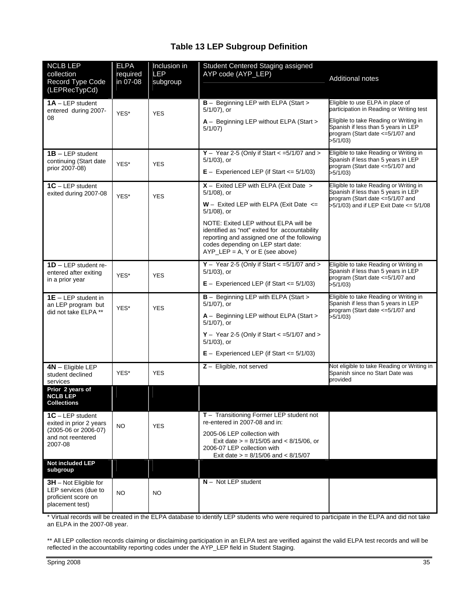## **Table 13 LEP Subgroup Definition**

| <b>NCLB LEP</b><br>collection<br>Record Type Code<br>(LEPRecTypCd)                        | <b>ELPA</b><br>required<br>in 07-08 | Inclusion in<br><b>LEP</b><br>subgroup | Student Centered Staging assigned<br>AYP code (AYP_LEP)                                                                                                                                                           | <b>Additional notes</b>                                                                                                        |
|-------------------------------------------------------------------------------------------|-------------------------------------|----------------------------------------|-------------------------------------------------------------------------------------------------------------------------------------------------------------------------------------------------------------------|--------------------------------------------------------------------------------------------------------------------------------|
| $1A - LEP$ student<br>entered during 2007-                                                | YES*                                | <b>YES</b>                             | <b>B</b> - Beginning LEP with ELPA (Start ><br>5/1/07), or                                                                                                                                                        | Eligible to use ELPA in place of<br>participation in Reading or Writing test                                                   |
| 08                                                                                        |                                     |                                        | A - Beginning LEP without ELPA (Start ><br>5/1/07                                                                                                                                                                 | Eligible to take Reading or Writing in<br>Spanish if less than 5 years in LEP<br>program (Start date <= 5/1/07 and<br>>5/1/03) |
| $1B - LEP$ student<br>continuing (Start date<br>prior 2007-08)                            | YES*                                | <b>YES</b>                             | $Y -$ Year 2-5 (Only if Start < =5/1/07 and ><br>$5/1/03$ , or<br>$E -$ Experienced LEP (if Start $\lt = 5/1/03$ )                                                                                                | Eligible to take Reading or Writing in<br>Spanish if less than 5 years in LEP<br>program (Start date <=5/1/07 and<br>>5/1/03   |
| $1C - LEP$ student<br>exited during 2007-08                                               | YES*                                | <b>YES</b>                             | $X -$ Exited LEP with ELPA (Exit Date ><br>$5/1/08$ ), or                                                                                                                                                         | Eligible to take Reading or Writing in<br>Spanish if less than 5 years in LEP<br>program (Start date <=5/1/07 and              |
|                                                                                           |                                     |                                        | $W -$ Exited LEP with ELPA (Exit Date $\le$<br>$5/1/08$ ), or                                                                                                                                                     | >5/1/03) and if LEP Exit Date <= 5/1/08                                                                                        |
|                                                                                           |                                     |                                        | NOTE: Exited LEP without ELPA will be<br>identified as "not" exited for accountability<br>reporting and assigned one of the following<br>codes depending on LEP start date:<br>$AYP_LEP = A$ , Y or E (see above) |                                                                                                                                |
| $1D - LEP$ student re-<br>entered after exiting<br>in a prior year                        | YES*                                | <b>YES</b>                             | $Y -$ Year 2-5 (Only if Start < =5/1/07 and ><br>$5/1/03$ ), or<br>$E -$ Experienced LEP (if Start $\leq 5/1/03$ )                                                                                                | Eligible to take Reading or Writing in<br>Spanish if less than 5 years in LEP<br>program (Start date <= 5/1/07 and<br>>5/1/03  |
| $1E - LEP$ student in<br>an LEP program but                                               | YES*                                | <b>YES</b>                             | <b>B</b> - Beginning LEP with ELPA (Start ><br>$5/1/07$ , or                                                                                                                                                      | Eligible to take Reading or Writing in<br>Spanish if less than 5 years in LEP<br>program (Start date <=5/1/07 and              |
| did not take ELPA **                                                                      |                                     |                                        | A - Beginning LEP without ELPA (Start ><br>$5/1/07$ , or                                                                                                                                                          | >5/1/03)                                                                                                                       |
|                                                                                           |                                     |                                        | $Y -$ Year 2-5 (Only if Start $\lt$ =5/1/07 and $>$<br>$5/1/03$ , or                                                                                                                                              |                                                                                                                                |
|                                                                                           |                                     |                                        | $E -$ Experienced LEP (if Start $\leq 5/1/03$ )                                                                                                                                                                   |                                                                                                                                |
| $4N -$ Eligible LEP<br>student declined<br>services                                       | YES*                                | <b>YES</b>                             | $Z -$ Eligible, not served                                                                                                                                                                                        | Not eligible to take Reading or Writing in<br>Spanish since no Start Date was<br>provided                                      |
| Prior 2 years of<br><b>NCLB LEP</b><br><b>Collections</b>                                 |                                     |                                        |                                                                                                                                                                                                                   |                                                                                                                                |
| $1C - LEP$ student<br>exited in prior 2 years                                             | <b>NO</b>                           | <b>YES</b>                             | $T -$ Transitioning Former LEP student not<br>re-entered in 2007-08 and in:                                                                                                                                       |                                                                                                                                |
| (2005-06 or 2006-07)<br>and not reentered<br>2007-08                                      |                                     |                                        | 2005-06 LEP collection with<br>Exit date $>$ = 8/15/05 and < 8/15/06, or<br>2006-07 LEP collection with<br>Exit date $>$ = 8/15/06 and < 8/15/07                                                                  |                                                                                                                                |
| Not included LEP<br>subgroup                                                              |                                     |                                        |                                                                                                                                                                                                                   |                                                                                                                                |
| $3H$ – Not Eligible for<br>LEP services (due to<br>proficient score on<br>placement test) | NO.                                 | <b>NO</b>                              | $N -$ Not LEP student                                                                                                                                                                                             |                                                                                                                                |

\* Virtual records will be created in the ELPA database to identify LEP students who were required to participate in the ELPA and did not take an ELPA in the 2007-08 year.

\*\* All LEP collection records claiming or disclaiming participation in an ELPA test are verified against the valid ELPA test records and will be reflected in the accountability reporting codes under the AYP\_LEP field in Student Staging.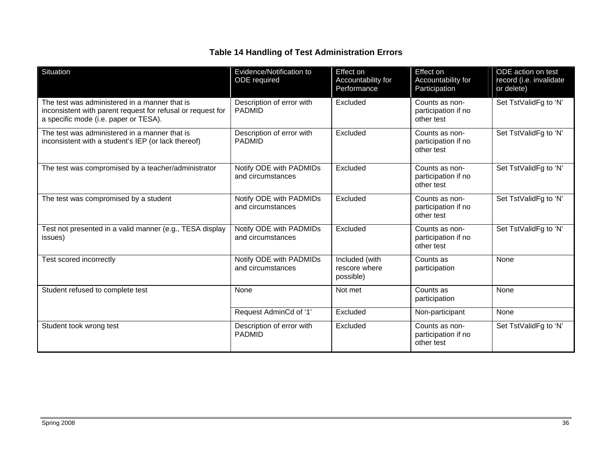## **Table 14 Handling of Test Administration Errors**

| Situation                                                                                                                                             | Evidence/Notification to<br>ODE required     | <b>Effect on</b><br>Accountability for<br>Performance | Effect on<br>Accountability for<br>Participation    | ODE action on test<br>record (i.e. invalidate<br>or delete) |
|-------------------------------------------------------------------------------------------------------------------------------------------------------|----------------------------------------------|-------------------------------------------------------|-----------------------------------------------------|-------------------------------------------------------------|
| The test was administered in a manner that is<br>inconsistent with parent request for refusal or request for<br>a specific mode (i.e. paper or TESA). | Description of error with<br><b>PADMID</b>   | Excluded                                              | Counts as non-<br>participation if no<br>other test | Set TstValidFg to 'N'                                       |
| The test was administered in a manner that is<br>inconsistent with a student's IEP (or lack thereof)                                                  | Description of error with<br><b>PADMID</b>   | Excluded                                              | Counts as non-<br>participation if no<br>other test | Set TstValidFg to 'N'                                       |
| The test was compromised by a teacher/administrator                                                                                                   | Notify ODE with PADMIDs<br>and circumstances | Excluded                                              | Counts as non-<br>participation if no<br>other test | Set TstValidFg to 'N'                                       |
| The test was compromised by a student                                                                                                                 | Notify ODE with PADMIDs<br>and circumstances | Excluded                                              | Counts as non-<br>participation if no<br>other test | Set TstValidFg to 'N'                                       |
| Test not presented in a valid manner (e.g., TESA display<br>issues)                                                                                   | Notify ODE with PADMIDs<br>and circumstances | Excluded                                              | Counts as non-<br>participation if no<br>other test | Set TstValidFg to 'N'                                       |
| Test scored incorrectly                                                                                                                               | Notify ODE with PADMIDs<br>and circumstances | Included (with<br>rescore where<br>possible)          | Counts as<br>participation                          | None                                                        |
| Student refused to complete test                                                                                                                      | None                                         | Not met                                               | Counts as<br>participation                          | None                                                        |
|                                                                                                                                                       | Request AdminCd of '1'                       | Excluded                                              | Non-participant                                     | None                                                        |
| Student took wrong test                                                                                                                               | Description of error with<br><b>PADMID</b>   | Excluded                                              | Counts as non-<br>participation if no<br>other test | Set TstValidFg to 'N'                                       |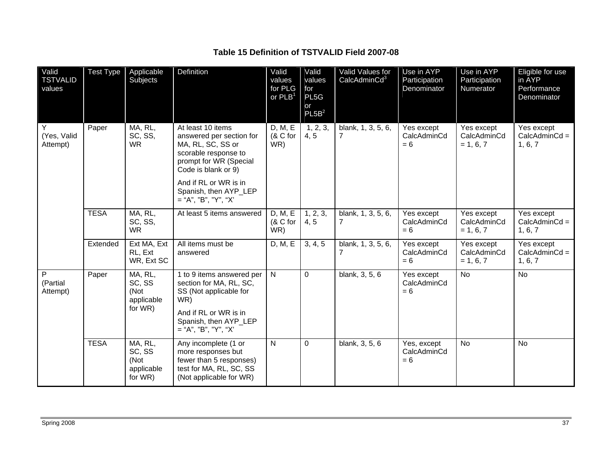#### **Table 15 Definition of TSTVALID Field 2007-08**

| Valid<br><b>TSTVALID</b><br>values | <b>Test Type</b> | Applicable<br>Subjects                             | Definition                                                                                                                                                        | Valid<br>values<br>for PLG<br>or $PLB1$ | Valid<br>values<br>for<br>PL5G<br>or<br>PL5B <sup>2</sup> | Valid Values for<br>CalcAdminCd <sup>3</sup> | Use in AYP<br>Participation<br>Denominator | Use in AYP<br>Participation<br>Numerator | Eligible for use<br>in AYP<br>Performance<br>Denominator |
|------------------------------------|------------------|----------------------------------------------------|-------------------------------------------------------------------------------------------------------------------------------------------------------------------|-----------------------------------------|-----------------------------------------------------------|----------------------------------------------|--------------------------------------------|------------------------------------------|----------------------------------------------------------|
| Y<br>(Yes, Valid<br>Attempt)       | Paper            | MA, RL,<br>SC, SS,<br><b>WR</b>                    | At least 10 items<br>answered per section for<br>MA, RL, SC, SS or<br>scorable response to<br>prompt for WR (Special<br>Code is blank or 9)                       | D, M, E<br>(& C for<br>WR)              | 1, 2, 3,<br>4, 5                                          | blank, 1, 3, 5, 6,<br>$\overline{7}$         | Yes except<br>CalcAdminCd<br>$= 6$         | Yes except<br>CalcAdminCd<br>$= 1, 6, 7$ | Yes except<br>$CalcAdminCd =$<br>1, 6, 7                 |
|                                    |                  |                                                    | And if RL or WR is in<br>Spanish, then AYP_LEP<br>$=$ "A", "B", "Y", "X"                                                                                          |                                         |                                                           |                                              |                                            |                                          |                                                          |
|                                    | <b>TESA</b>      | MA, RL,<br>SC, SS,<br><b>WR</b>                    | At least 5 items answered                                                                                                                                         | D, M, E<br>(& C for<br>WR)              | 1, 2, 3,<br>4, 5                                          | blank, 1, 3, 5, 6,<br>$\overline{7}$         | Yes except<br>CalcAdminCd<br>$= 6$         | Yes except<br>CalcAdminCd<br>$= 1, 6, 7$ | Yes except<br>$CalcAdminCd =$<br>1, 6, 7                 |
|                                    | Extended         | Ext MA, Ext<br>RL, Ext<br>WR, Ext SC               | All items must be<br>answered                                                                                                                                     | D, M, E                                 | 3, 4, 5                                                   | blank, 1, 3, 5, 6,<br>$\overline{7}$         | Yes except<br>CalcAdminCd<br>$= 6$         | Yes except<br>CalcAdminCd<br>$= 1, 6, 7$ | Yes except<br>$CalcAdminCd =$<br>1, 6, 7                 |
| P<br>(Partial<br>Attempt)          | Paper            | MA, RL,<br>SC, SS<br>(Not<br>applicable<br>for WR) | 1 to 9 items answered per<br>section for MA, RL, SC,<br>SS (Not applicable for<br>WR)<br>And if RL or WR is in<br>Spanish, then AYP_LEP<br>$=$ "A", "B", "Y", "X" | N                                       | $\mathbf 0$                                               | blank, 3, 5, 6                               | Yes except<br>CalcAdminCd<br>$= 6$         | <b>No</b>                                | <b>No</b>                                                |
|                                    | <b>TESA</b>      | MA, RL,<br>SC, SS<br>(Not<br>applicable<br>for WR) | Any incomplete (1 or<br>more responses but<br>fewer than 5 responses)<br>test for MA, RL, SC, SS<br>(Not applicable for WR)                                       | $\overline{N}$                          | $\mathbf 0$                                               | blank, 3, 5, 6                               | Yes, except<br>CalcAdminCd<br>$= 6$        | $\overline{N}$                           | <b>No</b>                                                |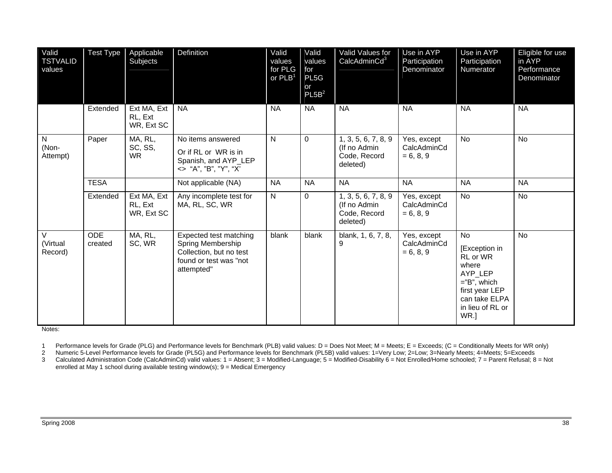| Valid<br><b>TSTVALID</b><br>values | <b>Test Type</b>      | Applicable<br>Subjects               | Definition                                                                                                     | Valid<br>values<br>for PLG<br>or $PLB1$ | Valid<br>values<br>for<br>PL5G<br>or<br>PL5B <sup>2</sup> | Valid Values for<br>CalcAdminCd <sup>3</sup>                    | Use in AYP<br>Participation<br>Denominator | Use in AYP<br>Participation<br>Numerator                                                                                            | Eligible for use<br>in AYP<br>Performance<br>Denominator |
|------------------------------------|-----------------------|--------------------------------------|----------------------------------------------------------------------------------------------------------------|-----------------------------------------|-----------------------------------------------------------|-----------------------------------------------------------------|--------------------------------------------|-------------------------------------------------------------------------------------------------------------------------------------|----------------------------------------------------------|
|                                    | Extended              | Ext MA, Ext<br>RL, Ext<br>WR, Ext SC | <b>NA</b>                                                                                                      | <b>NA</b>                               | <b>NA</b>                                                 | <b>NA</b>                                                       | <b>NA</b>                                  | <b>NA</b>                                                                                                                           | <b>NA</b>                                                |
| $\mathsf{N}$<br>(Non-<br>Attempt)  | Paper                 | MA, RL,<br>SC, SS,<br><b>WR</b>      | No items answered<br>Or if RL or WR is in<br>Spanish, and AYP_LEP<br><> "A", "B", "Y", "X"                     | $\mathsf{N}$                            | $\Omega$                                                  | 1, 3, 5, 6, 7, 8, 9<br>(If no Admin<br>Code, Record<br>deleted) | Yes, except<br>CalcAdminCd<br>$= 6, 8, 9$  | <b>No</b>                                                                                                                           | <b>No</b>                                                |
|                                    | <b>TESA</b>           |                                      | Not applicable (NA)                                                                                            | <b>NA</b>                               | <b>NA</b>                                                 | <b>NA</b>                                                       | <b>NA</b>                                  | <b>NA</b>                                                                                                                           | <b>NA</b>                                                |
|                                    | Extended              | Ext MA, Ext<br>RL, Ext<br>WR, Ext SC | Any incomplete test for<br>MA, RL, SC, WR                                                                      | N                                       | $\mathbf 0$                                               | 1, 3, 5, 6, 7, 8, 9<br>(If no Admin<br>Code, Record<br>deleted) | Yes, except<br>CalcAdminCd<br>$= 6, 8, 9$  | <b>No</b>                                                                                                                           | <b>No</b>                                                |
| $\vee$<br>(Virtual<br>Record)      | <b>ODE</b><br>created | MA, RL,<br>SC, WR                    | Expected test matching<br>Spring Membership<br>Collection, but no test<br>found or test was "not<br>attempted" | blank                                   | blank                                                     | blank, 1, 6, 7, 8,<br>9                                         | Yes, except<br>CalcAdminCd<br>$= 6, 8, 9$  | No<br>[Exception in<br>RL or WR<br>where<br>AYP_LEP<br>$=$ "B", which<br>first year LEP<br>can take ELPA<br>in lieu of RL or<br>WR. | <b>No</b>                                                |

Notes:

1 Performance levels for Grade (PLG) and Performance levels for Benchmark (PLB) valid values: D = Does Not Meet; M = Meets; E = Exceeds; (C = Conditionally Meets for WR only)

2 Numeric 5-Level Performance levels for Grade (PL5G) and Performance levels for Benchmark (PL5B) valid values: 1=Very Low; 2=Low; 3=Nearly Meets; 4=Meets; 5=Exceeds

3 Calculated Administration Code (CalcAdminCd) valid values: 1 = Absent; 3 = Modified-Language; 5 = Modified-Disability 6 = Not Enrolled/Home schooled; 7 = Parent Refusal; 8 = Not enrolled at May 1 school during available testing window(s); 9 = Medical Emergency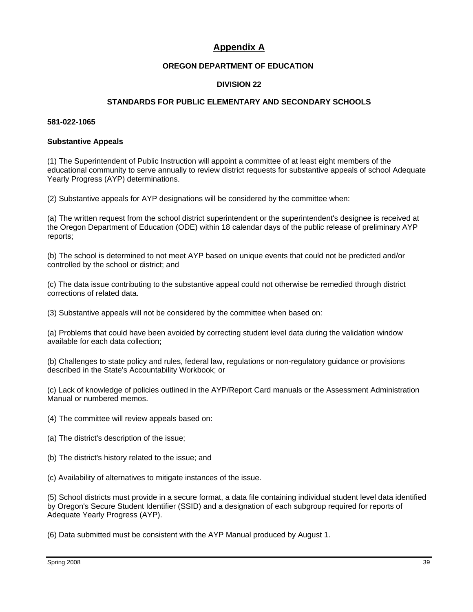## **Appendix A**

#### **OREGON DEPARTMENT OF EDUCATION**

#### **DIVISION 22**

#### **STANDARDS FOR PUBLIC ELEMENTARY AND SECONDARY SCHOOLS**

#### **581-022-1065**

#### **Substantive Appeals**

(1) The Superintendent of Public Instruction will appoint a committee of at least eight members of the educational community to serve annually to review district requests for substantive appeals of school Adequate Yearly Progress (AYP) determinations.

(2) Substantive appeals for AYP designations will be considered by the committee when:

(a) The written request from the school district superintendent or the superintendent's designee is received at the Oregon Department of Education (ODE) within 18 calendar days of the public release of preliminary AYP reports;

(b) The school is determined to not meet AYP based on unique events that could not be predicted and/or controlled by the school or district; and

(c) The data issue contributing to the substantive appeal could not otherwise be remedied through district corrections of related data.

(3) Substantive appeals will not be considered by the committee when based on:

(a) Problems that could have been avoided by correcting student level data during the validation window available for each data collection;

(b) Challenges to state policy and rules, federal law, regulations or non-regulatory guidance or provisions described in the State's Accountability Workbook; or

(c) Lack of knowledge of policies outlined in the AYP/Report Card manuals or the Assessment Administration Manual or numbered memos.

(4) The committee will review appeals based on:

- (a) The district's description of the issue;
- (b) The district's history related to the issue; and
- (c) Availability of alternatives to mitigate instances of the issue.

(5) School districts must provide in a secure format, a data file containing individual student level data identified by Oregon's Secure Student Identifier (SSID) and a designation of each subgroup required for reports of Adequate Yearly Progress (AYP).

(6) Data submitted must be consistent with the AYP Manual produced by August 1.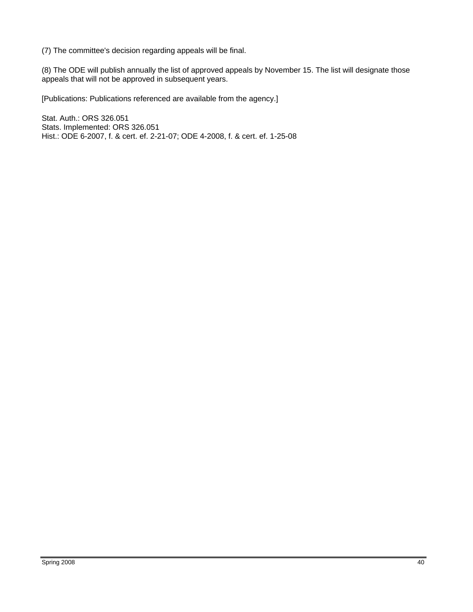(7) The committee's decision regarding appeals will be final.

(8) The ODE will publish annually the list of approved appeals by November 15. The list will designate those appeals that will not be approved in subsequent years.

[Publications: Publications referenced are available from the agency.]

Stat. Auth.: ORS 326.051 Stats. Implemented: ORS 326.051 Hist.: ODE 6-2007, f. & cert. ef. 2-21-07; ODE 4-2008, f. & cert. ef. 1-25-08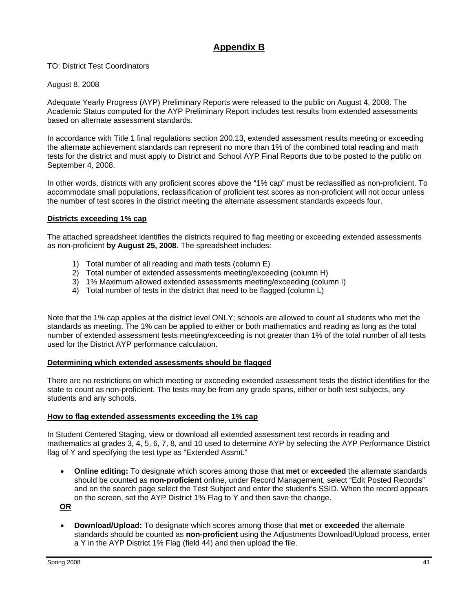## **Appendix B**

TO: District Test Coordinators

August 8, 2008

Adequate Yearly Progress (AYP) Preliminary Reports were released to the public on August 4, 2008. The Academic Status computed for the AYP Preliminary Report includes test results from extended assessments based on alternate assessment standards.

In accordance with Title 1 final regulations section 200.13, extended assessment results meeting or exceeding the alternate achievement standards can represent no more than 1% of the combined total reading and math tests for the district and must apply to District and School AYP Final Reports due to be posted to the public on September 4, 2008.

In other words, districts with any proficient scores above the "1% cap" must be reclassified as non-proficient. To accommodate small populations, reclassification of proficient test scores as non-proficient will not occur unless the number of test scores in the district meeting the alternate assessment standards exceeds four.

#### **Districts exceeding 1% cap**

The attached spreadsheet identifies the districts required to flag meeting or exceeding extended assessments as non-proficient **by August 25, 2008**. The spreadsheet includes:

- 1) Total number of all reading and math tests (column E)
- 2) Total number of extended assessments meeting/exceeding (column H)
- 3) 1% Maximum allowed extended assessments meeting/exceeding (column I)
- 4) Total number of tests in the district that need to be flagged (column L)

Note that the 1% cap applies at the district level ONLY; schools are allowed to count all students who met the standards as meeting. The 1% can be applied to either or both mathematics and reading as long as the total number of extended assessment tests meeting/exceeding is not greater than 1% of the total number of all tests used for the District AYP performance calculation.

#### **Determining which extended assessments should be flagged**

There are no restrictions on which meeting or exceeding extended assessment tests the district identifies for the state to count as non-proficient. The tests may be from any grade spans, either or both test subjects, any students and any schools.

#### **How to flag extended assessments exceeding the 1% cap**

In Student Centered Staging, view or download all extended assessment test records in reading and mathematics at grades 3, 4, 5, 6, 7, 8, and 10 used to determine AYP by selecting the AYP Performance District flag of Y and specifying the test type as "Extended Assmt."

• **Online editing:** To designate which scores among those that **met** or **exceeded** the alternate standards should be counted as **non-proficient** online, under Record Management, select "Edit Posted Records" and on the search page select the Test Subject and enter the student's SSID. When the record appears on the screen, set the AYP District 1% Flag to Y and then save the change.

**OR**

• **Download/Upload:** To designate which scores among those that **met** or **exceeded** the alternate standards should be counted as **non-proficient** using the Adjustments Download/Upload process, enter a Y in the AYP District 1% Flag (field 44) and then upload the file.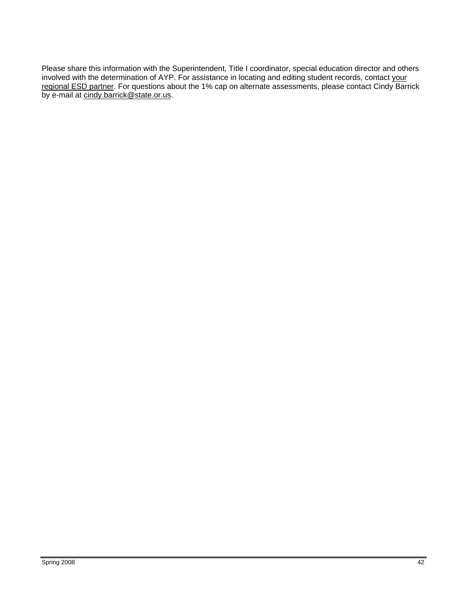Please share this information with the Superintendent, Title I coordinator, special education director and others involved with the determination of AYP. For assistance in locating and editing student records, contact your [regional ESD partner](http://www.ode.state.or.us/teachlearn/testing/oaks/esdpartners0809.pdf). For questions about the 1% cap on alternate assessments, please contact Cindy Barrick by e-mail at [cindy.barrick@state.or.us](mailto:cindy.barrick@state.or.us).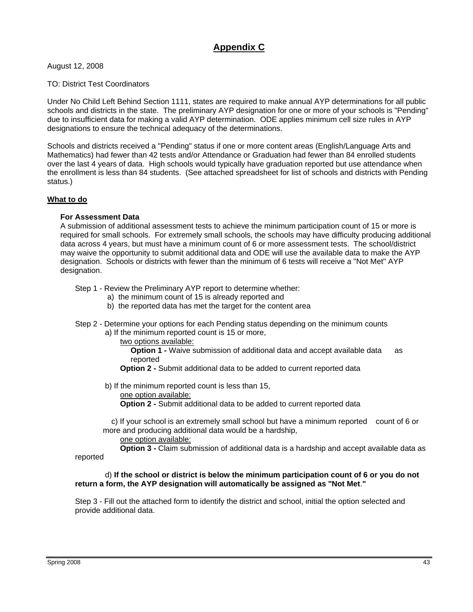## **Appendix C**

August 12, 2008

TO: District Test Coordinators

Under No Child Left Behind Section 1111, states are required to make annual AYP determinations for all public schools and districts in the state. The preliminary AYP designation for one or more of your schools is "Pending" due to insufficient data for making a valid AYP determination. ODE applies minimum cell size rules in AYP designations to ensure the technical adequacy of the determinations.

Schools and districts received a "Pending" status if one or more content areas (English/Language Arts and Mathematics) had fewer than 42 tests and/or Attendance or Graduation had fewer than 84 enrolled students over the last 4 years of data. High schools would typically have graduation reported but use attendance when the enrollment is less than 84 students. (See attached spreadsheet for list of schools and districts with Pending status.)

#### **What to do**

#### **For Assessment Data**

A submission of additional assessment tests to achieve the minimum participation count of 15 or more is required for small schools. For extremely small schools, the schools may have difficulty producing additional data across 4 years, but must have a minimum count of 6 or more assessment tests. The school/district may waive the opportunity to submit additional data and ODE will use the available data to make the AYP designation. Schools or districts with fewer than the minimum of 6 tests will receive a "Not Met" AYP designation.

Step 1 - Review the Preliminary AYP report to determine whether:

- a) the minimum count of 15 is already reported and
- b) the reported data has met the target for the content area
- Step 2 Determine your options for each Pending status depending on the minimum counts
	- a) If the minimum reported count is 15 or more,

two options available:

**Option 1 - Waive submission of additional data and accept available data as** reported

- **Option 2** Submit additional data to be added to current reported data
- b) If the minimum reported count is less than 15,
	- one option available:

 **Option 2 -** Submit additional data to be added to current reported data

 c) If your school is an extremely small school but have a minimum reported count of 6 or more and producing additional data would be a hardship,

one option available:

**Option 3 -** Claim submission of additional data is a hardship and accept available data as

reported

#### d) **If the school or district is below the minimum participation count of 6 or you do not return a form, the AYP designation will automatically be assigned as "Not Met**.**"**

Step 3 - Fill out the attached form to identify the district and school, initial the option selected and provide additional data.